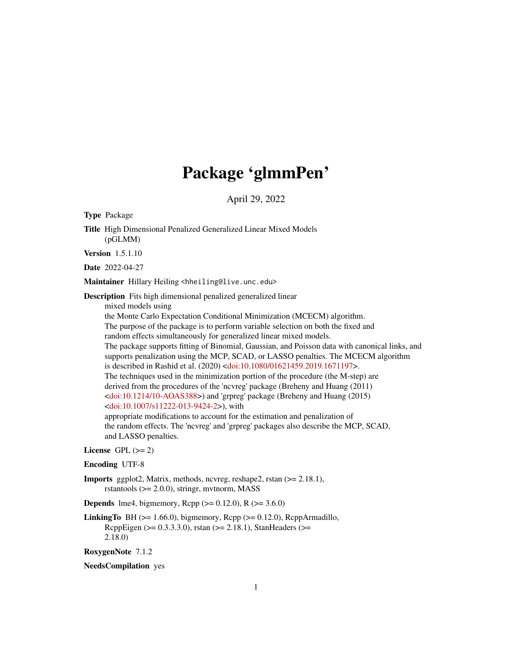# Package 'glmmPen'

April 29, 2022

<span id="page-0-0"></span>Type Package

Title High Dimensional Penalized Generalized Linear Mixed Models (pGLMM)

Version 1.5.1.10

Date 2022-04-27

Maintainer Hillary Heiling <hheiling@live.unc.edu>

Description Fits high dimensional penalized generalized linear

mixed models using

the Monte Carlo Expectation Conditional Minimization (MCECM) algorithm. The purpose of the package is to perform variable selection on both the fixed and random effects simultaneously for generalized linear mixed models. The package supports fitting of Binomial, Gaussian, and Poisson data with canonical links, and supports penalization using the MCP, SCAD, or LASSO penalties. The MCECM algorithm is described in Rashid et al. (2020) [<doi:10.1080/01621459.2019.1671197>](https://doi.org/10.1080/01621459.2019.1671197). The techniques used in the minimization portion of the procedure (the M-step) are derived from the procedures of the 'ncvreg' package (Breheny and Huang (2011) [<doi:10.1214/10-AOAS388>](https://doi.org/10.1214/10-AOAS388)) and 'grpreg' package (Breheny and Huang (2015) [<doi:10.1007/s11222-013-9424-2>](https://doi.org/10.1007/s11222-013-9424-2)), with appropriate modifications to account for the estimation and penalization of the random effects. The 'ncvreg' and 'grpreg' packages also describe the MCP, SCAD,

#### License GPL  $(>= 2)$

and LASSO penalties.

#### Encoding UTF-8

Imports ggplot2, Matrix, methods, ncvreg, reshape2, rstan (>= 2.18.1), rstantools (>= 2.0.0), stringr, mvtnorm, MASS

**Depends** lme4, bigmemory, Rcpp ( $>= 0.12.0$ ), R ( $>= 3.6.0$ )

**LinkingTo** BH ( $>= 1.66.0$ ), bigmemory, Rcpp ( $>= 0.12.0$ ), RcppArmadillo, RcppEigen (>= 0.3.3.3.0), rstan (>= 2.18.1), StanHeaders (>= 2.18.0)

RoxygenNote 7.1.2

NeedsCompilation yes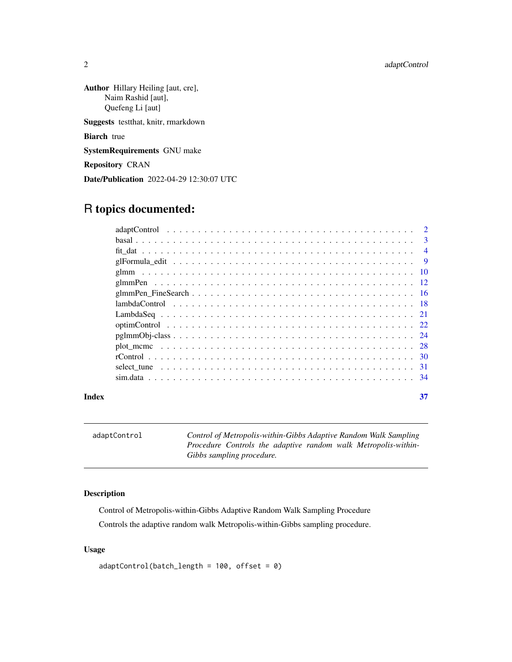<span id="page-1-0"></span>Author Hillary Heiling [aut, cre], Naim Rashid [aut], Quefeng Li [aut] Suggests testthat, knitr, rmarkdown Biarch true SystemRequirements GNU make

Repository CRAN

Date/Publication 2022-04-29 12:30:07 UTC

# R topics documented:

|  | $\mathcal{D}$ |  |
|--|---------------|--|
|  |               |  |
|  |               |  |
|  |               |  |
|  |               |  |
|  |               |  |
|  |               |  |
|  |               |  |
|  |               |  |
|  |               |  |
|  |               |  |
|  |               |  |
|  |               |  |
|  |               |  |
|  |               |  |
|  |               |  |

#### **Index** [37](#page-36-0)

<span id="page-1-1"></span>adaptControl *Control of Metropolis-within-Gibbs Adaptive Random Walk Sampling Procedure Controls the adaptive random walk Metropolis-within-Gibbs sampling procedure.*

# Description

Control of Metropolis-within-Gibbs Adaptive Random Walk Sampling Procedure Controls the adaptive random walk Metropolis-within-Gibbs sampling procedure.

#### Usage

```
adaptControl(batch_length = 100, offset = 0)
```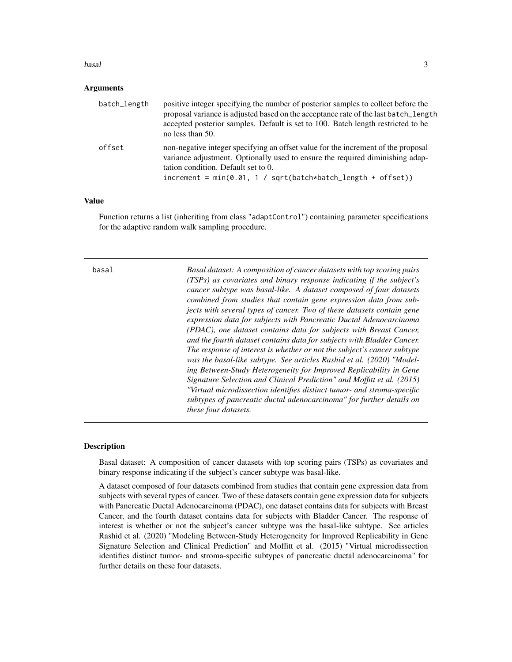#### <span id="page-2-0"></span>basal 3 and 3 and 3 and 3 and 3 and 3 and 3 and 3 and 3 and 3 and 3 and 3 and 3 and 3 and 3 and 3 and 3 and 3 and 3 and 3 and 3 and 3 and 3 and 3 and 3 and 3 and 3 and 3 and 3 and 3 and 3 and 3 and 3 and 3 and 3 and 3 and

#### Arguments

| batch_length | positive integer specifying the number of posterior samples to collect before the<br>proposal variance is adjusted based on the acceptance rate of the last batch_length<br>accepted posterior samples. Default is set to 100. Batch length restricted to be<br>no less than 50. |
|--------------|----------------------------------------------------------------------------------------------------------------------------------------------------------------------------------------------------------------------------------------------------------------------------------|
| offset       | non-negative integer specifying an offset value for the increment of the proposal<br>variance adjustment. Optionally used to ensure the required diminishing adap-<br>tation condition. Default set to 0.<br>$increment = min(0.01, 1 / sqrt(batch*batch_length + offset))$      |

#### Value

Function returns a list (inheriting from class "adaptControl") containing parameter specifications for the adaptive random walk sampling procedure.

basal *Basal dataset: A composition of cancer datasets with top scoring pairs (TSPs) as covariates and binary response indicating if the subject's cancer subtype was basal-like. A dataset composed of four datasets combined from studies that contain gene expression data from subjects with several types of cancer. Two of these datasets contain gene expression data for subjects with Pancreatic Ductal Adenocarcinoma (PDAC), one dataset contains data for subjects with Breast Cancer, and the fourth dataset contains data for subjects with Bladder Cancer. The response of interest is whether or not the subject's cancer subtype was the basal-like subtype. See articles Rashid et al. (2020) "Modeling Between-Study Heterogeneity for Improved Replicability in Gene Signature Selection and Clinical Prediction" and Moffitt et al. (2015) "Virtual microdissection identifies distinct tumor- and stroma-specific subtypes of pancreatic ductal adenocarcinoma" for further details on these four datasets.*

### **Description**

Basal dataset: A composition of cancer datasets with top scoring pairs (TSPs) as covariates and binary response indicating if the subject's cancer subtype was basal-like.

A dataset composed of four datasets combined from studies that contain gene expression data from subjects with several types of cancer. Two of these datasets contain gene expression data for subjects with Pancreatic Ductal Adenocarcinoma (PDAC), one dataset contains data for subjects with Breast Cancer, and the fourth dataset contains data for subjects with Bladder Cancer. The response of interest is whether or not the subject's cancer subtype was the basal-like subtype. See articles Rashid et al. (2020) "Modeling Between-Study Heterogeneity for Improved Replicability in Gene Signature Selection and Clinical Prediction" and Moffitt et al. (2015) "Virtual microdissection identifies distinct tumor- and stroma-specific subtypes of pancreatic ductal adenocarcinoma" for further details on these four datasets.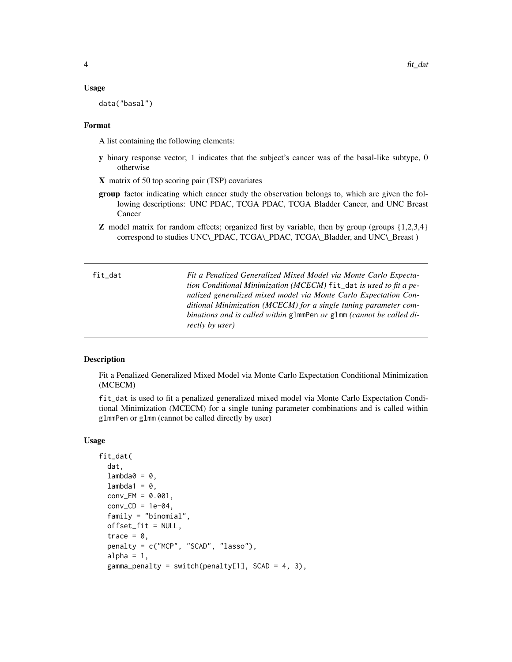#### <span id="page-3-0"></span>Usage

data("basal")

#### Format

A list containing the following elements:

- y binary response vector; 1 indicates that the subject's cancer was of the basal-like subtype, 0 otherwise
- X matrix of 50 top scoring pair (TSP) covariates
- group factor indicating which cancer study the observation belongs to, which are given the following descriptions: UNC PDAC, TCGA PDAC, TCGA Bladder Cancer, and UNC Breast Cancer
- **Z** model matrix for random effects; organized first by variable, then by group (groups  $\{1,2,3,4\}$ ) correspond to studies UNC\\_PDAC, TCGA\\_PDAC, TCGA\\_Bladder, and UNC\\_Breast )

<span id="page-3-1"></span>

| fit_dat | Fit a Penalized Generalized Mixed Model via Monte Carlo Expecta-     |
|---------|----------------------------------------------------------------------|
|         | tion Conditional Minimization (MCECM) fit_dat is used to fit a pe-   |
|         | nalized generalized mixed model via Monte Carlo Expectation Con-     |
|         | ditional Minimization (MCECM) for a single tuning parameter com-     |
|         | binations and is called within glmmPen or glmm (cannot be called di- |
|         | <i>rectly by user</i> )                                              |

#### **Description**

Fit a Penalized Generalized Mixed Model via Monte Carlo Expectation Conditional Minimization (MCECM)

fit\_dat is used to fit a penalized generalized mixed model via Monte Carlo Expectation Conditional Minimization (MCECM) for a single tuning parameter combinations and is called within glmmPen or glmm (cannot be called directly by user)

#### Usage

```
fit_dat(
  dat,
  lambda@ = 0,lambda1 = 0,
  conv\_EM = 0.001,
  conv\_CD = 1e-04,
  family = "binomial",
  offset_fit = NULL,
  trace = 0,
  penalty = c("MCP", "SCAD", "lasso"),
  alpha = 1,
  gamma_penalty = switch(penalty[1], SCAD = 4, 3),
```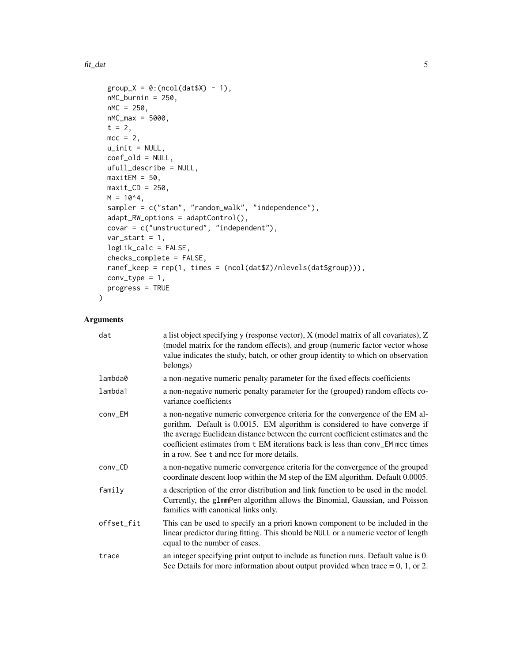#### $fit\_data$  5

```
group_X = 0:(ncol(data,X) - 1),nMC_burnin = 250,
 nMC = 250,
 nMC_max = 5000,t = 2,
 mcc = 2,
 u\_init = NULL,coef_old = NULL,
 ufull_describe = NULL,
 maxitem = 50,
 maxit\_CD = 250,
 M = 10^{4},
  sampler = c("stan", "random_walk", "independence"),
  adapt_RW_options = adaptControl(),
 covar = c("unstructured", "independent"),
  var\_start = 1,
  logLik_calc = FALSE,
  checks_complete = FALSE,
  ranef_keep = rep(1, times = (ncol(dat$Z)/nlevels(dat$group))),
  conv_type = 1,
 progress = TRUE
\mathcal{L}
```

| dat        | a list object specifying y (response vector), X (model matrix of all covariates), Z<br>(model matrix for the random effects), and group (numeric factor vector whose<br>value indicates the study, batch, or other group identity to which on observation<br>belongs)                                                                                                          |
|------------|--------------------------------------------------------------------------------------------------------------------------------------------------------------------------------------------------------------------------------------------------------------------------------------------------------------------------------------------------------------------------------|
| lambda0    | a non-negative numeric penalty parameter for the fixed effects coefficients                                                                                                                                                                                                                                                                                                    |
| lambda1    | a non-negative numeric penalty parameter for the (grouped) random effects co-<br>variance coefficients                                                                                                                                                                                                                                                                         |
| conv_EM    | a non-negative numeric convergence criteria for the convergence of the EM al-<br>gorithm. Default is 0.0015. EM algorithm is considered to have converge if<br>the average Euclidean distance between the current coefficient estimates and the<br>coefficient estimates from t EM iterations back is less than conv_EM mcc times<br>in a row. See t and mcc for more details. |
| conv_CD    | a non-negative numeric convergence criteria for the convergence of the grouped<br>coordinate descent loop within the M step of the EM algorithm. Default 0.0005.                                                                                                                                                                                                               |
| family     | a description of the error distribution and link function to be used in the model.<br>Currently, the g1mmPen algorithm allows the Binomial, Gaussian, and Poisson<br>families with canonical links only.                                                                                                                                                                       |
| offset_fit | This can be used to specify an a priori known component to be included in the<br>linear predictor during fitting. This should be NULL or a numeric vector of length<br>equal to the number of cases.                                                                                                                                                                           |
| trace      | an integer specifying print output to include as function runs. Default value is 0.<br>See Details for more information about output provided when trace $= 0, 1,$ or 2.                                                                                                                                                                                                       |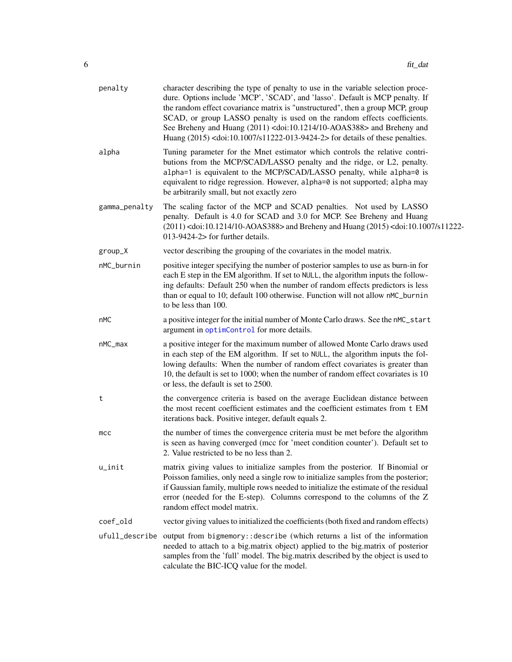<span id="page-5-0"></span>

| penalty       | character describing the type of penalty to use in the variable selection proce-<br>dure. Options include 'MCP', 'SCAD', and 'lasso'. Default is MCP penalty. If<br>the random effect covariance matrix is "unstructured", then a group MCP, group<br>SCAD, or group LASSO penalty is used on the random effects coefficients.<br>See Breheny and Huang (2011) <doi:10.1214 10-aoas388=""> and Breheny and<br/>Huang (2015) <doi:10.1007 s11222-013-9424-2=""> for details of these penalties.</doi:10.1007></doi:10.1214> |
|---------------|----------------------------------------------------------------------------------------------------------------------------------------------------------------------------------------------------------------------------------------------------------------------------------------------------------------------------------------------------------------------------------------------------------------------------------------------------------------------------------------------------------------------------|
| alpha         | Tuning parameter for the Mnet estimator which controls the relative contri-<br>butions from the MCP/SCAD/LASSO penalty and the ridge, or L2, penalty.<br>alpha=1 is equivalent to the MCP/SCAD/LASSO penalty, while alpha=0 is<br>equivalent to ridge regression. However, alpha=0 is not supported; alpha may<br>be arbitrarily small, but not exactly zero                                                                                                                                                               |
| gamma_penalty | The scaling factor of the MCP and SCAD penalties. Not used by LASSO<br>penalty. Default is 4.0 for SCAD and 3.0 for MCP. See Breheny and Huang<br>$(2011)$ <doi:10.1214 10-aoas388=""> and Breheny and Huang <math>(2015)</math> <doi:10.1007 s11222-<br=""><math>013-9424-2</math>&gt; for further details.</doi:10.1007></doi:10.1214>                                                                                                                                                                                   |
| group_X       | vector describing the grouping of the covariates in the model matrix.                                                                                                                                                                                                                                                                                                                                                                                                                                                      |
| nMC_burnin    | positive integer specifying the number of posterior samples to use as burn-in for<br>each E step in the EM algorithm. If set to NULL, the algorithm inputs the follow-<br>ing defaults: Default 250 when the number of random effects predictors is less<br>than or equal to 10; default 100 otherwise. Function will not allow nMC_burnin<br>to be less than 100.                                                                                                                                                         |
| nMC           | a positive integer for the initial number of Monte Carlo draws. See the nMC_start<br>argument in optimControl for more details.                                                                                                                                                                                                                                                                                                                                                                                            |
| nMC_max       | a positive integer for the maximum number of allowed Monte Carlo draws used<br>in each step of the EM algorithm. If set to NULL, the algorithm inputs the fol-<br>lowing defaults: When the number of random effect covariates is greater than<br>10, the default is set to 1000; when the number of random effect covariates is 10<br>or less, the default is set to 2500.                                                                                                                                                |
| t             | the convergence criteria is based on the average Euclidean distance between<br>the most recent coefficient estimates and the coefficient estimates from t EM<br>iterations back. Positive integer, default equals 2.                                                                                                                                                                                                                                                                                                       |
| mcc           | the number of times the convergence criteria must be met before the algorithm<br>is seen as having converged (mcc for 'meet condition counter'). Default set to<br>2. Value restricted to be no less than 2.                                                                                                                                                                                                                                                                                                               |
| u_init        | matrix giving values to initialize samples from the posterior. If Binomial or<br>Poisson families, only need a single row to initialize samples from the posterior;<br>if Gaussian family, multiple rows needed to initialize the estimate of the residual<br>error (needed for the E-step). Columns correspond to the columns of the Z<br>random effect model matrix.                                                                                                                                                     |
| coef_old      | vector giving values to initialized the coefficients (both fixed and random effects)                                                                                                                                                                                                                                                                                                                                                                                                                                       |
|               | ufull_describe output from bigmemory::describe (which returns a list of the information<br>needed to attach to a big.matrix object) applied to the big.matrix of posterior<br>samples from the 'full' model. The big.matrix described by the object is used to<br>calculate the BIC-ICQ value for the model.                                                                                                                                                                                                               |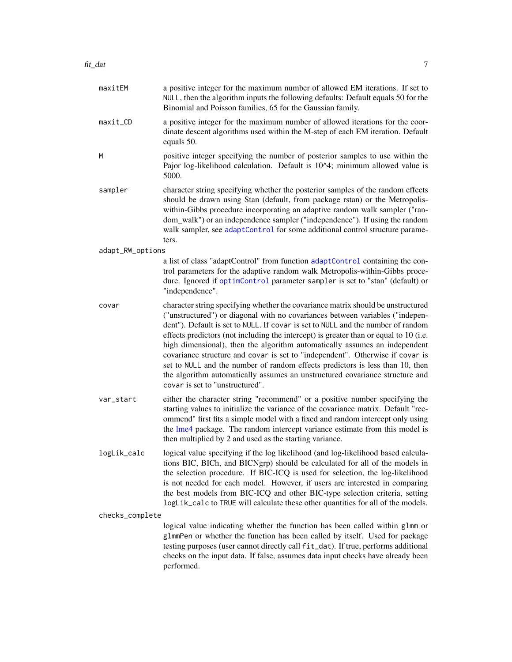<span id="page-6-0"></span>

| maxitEM          | a positive integer for the maximum number of allowed EM iterations. If set to<br>NULL, then the algorithm inputs the following defaults: Default equals 50 for the<br>Binomial and Poisson families, 65 for the Gaussian family.                                                                                                                                                                                                                                                                                                                                                                                                                                                                                  |
|------------------|-------------------------------------------------------------------------------------------------------------------------------------------------------------------------------------------------------------------------------------------------------------------------------------------------------------------------------------------------------------------------------------------------------------------------------------------------------------------------------------------------------------------------------------------------------------------------------------------------------------------------------------------------------------------------------------------------------------------|
| maxit_CD         | a positive integer for the maximum number of allowed iterations for the coor-<br>dinate descent algorithms used within the M-step of each EM iteration. Default<br>equals 50.                                                                                                                                                                                                                                                                                                                                                                                                                                                                                                                                     |
| M                | positive integer specifying the number of posterior samples to use within the<br>Pajor log-likelihood calculation. Default is 10^4; minimum allowed value is<br>5000.                                                                                                                                                                                                                                                                                                                                                                                                                                                                                                                                             |
| sampler          | character string specifying whether the posterior samples of the random effects<br>should be drawn using Stan (default, from package rstan) or the Metropolis-<br>within-Gibbs procedure incorporating an adaptive random walk sampler ("ran-<br>dom_walk") or an independence sampler ("independence"). If using the random<br>walk sampler, see adaptControl for some additional control structure parame-<br>ters.                                                                                                                                                                                                                                                                                             |
| adapt_RW_options |                                                                                                                                                                                                                                                                                                                                                                                                                                                                                                                                                                                                                                                                                                                   |
|                  | a list of class "adaptControl" from function adaptControl containing the con-<br>trol parameters for the adaptive random walk Metropolis-within-Gibbs proce-<br>dure. Ignored if optimControl parameter sampler is set to "stan" (default) or<br>"independence".                                                                                                                                                                                                                                                                                                                                                                                                                                                  |
| covar            | character string specifying whether the covariance matrix should be unstructured<br>("unstructured") or diagonal with no covariances between variables ("indepen-<br>dent"). Default is set to NULL. If covar is set to NULL and the number of random<br>effects predictors (not including the intercept) is greater than or equal to 10 (i.e.<br>high dimensional), then the algorithm automatically assumes an independent<br>covariance structure and covar is set to "independent". Otherwise if covar is<br>set to NULL and the number of random effects predictors is less than 10, then<br>the algorithm automatically assumes an unstructured covariance structure and<br>covar is set to "unstructured". |
| var_start        | either the character string "recommend" or a positive number specifying the<br>starting values to initialize the variance of the covariance matrix. Default "rec-<br>ommend" first fits a simple model with a fixed and random intercept only using<br>the lme4 package. The random intercept variance estimate from this model is<br>then multiplied by 2 and used as the starting variance.                                                                                                                                                                                                                                                                                                                     |
| logLik_calc      | logical value specifying if the log likelihood (and log-likelihood based calcula-<br>tions BIC, BICh, and BICNgrp) should be calculated for all of the models in<br>the selection procedure. If BIC-ICQ is used for selection, the log-likelihood<br>is not needed for each model. However, if users are interested in comparing<br>the best models from BIC-ICQ and other BIC-type selection criteria, setting<br>logLik_calc to TRUE will calculate these other quantities for all of the models.                                                                                                                                                                                                               |
| checks_complete  |                                                                                                                                                                                                                                                                                                                                                                                                                                                                                                                                                                                                                                                                                                                   |
|                  | logical value indicating whether the function has been called within glmm or<br>g1mmPen or whether the function has been called by itself. Used for package<br>testing purposes (user cannot directly call fit_dat). If true, performs additional<br>checks on the input data. If false, assumes data input checks have already been<br>performed.                                                                                                                                                                                                                                                                                                                                                                |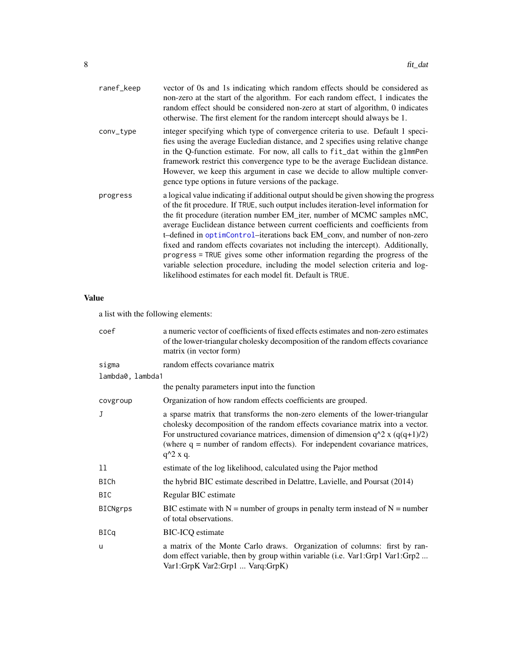<span id="page-7-0"></span>

| ranef_keep | vector of 0s and 1s indicating which random effects should be considered as<br>non-zero at the start of the algorithm. For each random effect, 1 indicates the<br>random effect should be considered non-zero at start of algorithm, 0 indicates<br>otherwise. The first element for the random intercept should always be 1.                                                                                                                                                                                                                                                                                                                                                                                                        |
|------------|--------------------------------------------------------------------------------------------------------------------------------------------------------------------------------------------------------------------------------------------------------------------------------------------------------------------------------------------------------------------------------------------------------------------------------------------------------------------------------------------------------------------------------------------------------------------------------------------------------------------------------------------------------------------------------------------------------------------------------------|
| conv_type  | integer specifying which type of convergence criteria to use. Default 1 speci-<br>fies using the average Eucledian distance, and 2 specifies using relative change<br>in the Q-function estimate. For now, all calls to fit_dat within the glmmPen<br>framework restrict this convergence type to be the average Euclidean distance.<br>However, we keep this argument in case we decide to allow multiple conver-<br>gence type options in future versions of the package.                                                                                                                                                                                                                                                          |
| progress   | a logical value indicating if additional output should be given showing the progress<br>of the fit procedure. If TRUE, such output includes iteration-level information for<br>the fit procedure (iteration number EM_iter, number of MCMC samples nMC,<br>average Euclidean distance between current coefficients and coefficients from<br>t-defined in optimControl-iterations back EM_conv, and number of non-zero<br>fixed and random effects covariates not including the intercept). Additionally,<br>progress = TRUE gives some other information regarding the progress of the<br>variable selection procedure, including the model selection criteria and log-<br>likelihood estimates for each model fit. Default is TRUE. |

#### Value

a list with the following elements:

| coef             | a numeric vector of coefficients of fixed effects estimates and non-zero estimates<br>of the lower-triangular cholesky decomposition of the random effects covariance<br>matrix (in vector form)                                                                                                                                                  |
|------------------|---------------------------------------------------------------------------------------------------------------------------------------------------------------------------------------------------------------------------------------------------------------------------------------------------------------------------------------------------|
| sigma            | random effects covariance matrix                                                                                                                                                                                                                                                                                                                  |
| lambda0, lambda1 |                                                                                                                                                                                                                                                                                                                                                   |
|                  | the penalty parameters input into the function                                                                                                                                                                                                                                                                                                    |
| covgroup         | Organization of how random effects coefficients are grouped.                                                                                                                                                                                                                                                                                      |
| J                | a sparse matrix that transforms the non-zero elements of the lower-triangular<br>cholesky decomposition of the random effects covariance matrix into a vector.<br>For unstructured covariance matrices, dimension of dimension $q^2$ x $(q(q+1)/2)$<br>(where $q =$ number of random effects). For independent covariance matrices,<br>$q^2$ x q. |
| 11               | estimate of the log likelihood, calculated using the Pajor method                                                                                                                                                                                                                                                                                 |
| <b>BICh</b>      | the hybrid BIC estimate described in Delattre, Lavielle, and Poursat (2014)                                                                                                                                                                                                                                                                       |
| BIC              | Regular BIC estimate                                                                                                                                                                                                                                                                                                                              |
| <b>BICNgrps</b>  | BIC estimate with $N =$ number of groups in penalty term instead of $N =$ number<br>of total observations.                                                                                                                                                                                                                                        |
| <b>BICq</b>      | <b>BIC-ICQ</b> estimate                                                                                                                                                                                                                                                                                                                           |
| u                | a matrix of the Monte Carlo draws. Organization of columns: first by ran-<br>dom effect variable, then by group within variable (i.e. Var1:Grp1 Var1:Grp2<br>Var1:GrpK Var2:Grp1  Varq:GrpK)                                                                                                                                                      |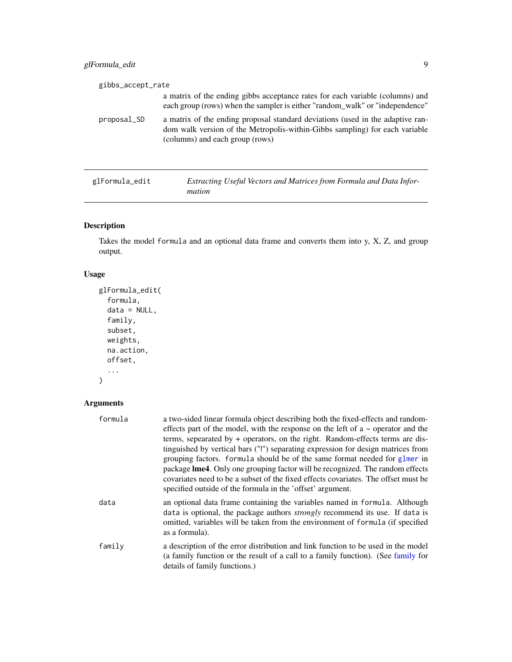# <span id="page-8-0"></span>glFormula\_edit 9

| gibbs_accept_rate |                                                                                                                                                                                                  |
|-------------------|--------------------------------------------------------------------------------------------------------------------------------------------------------------------------------------------------|
|                   | a matrix of the ending gibbs acceptance rates for each variable (columns) and<br>each group (rows) when the sampler is either "random_walk" or "independence"                                    |
| proposal_SD       | a matrix of the ending proposal standard deviations (used in the adaptive ran-<br>dom walk version of the Metropolis-within-Gibbs sampling) for each variable<br>(columns) and each group (rows) |
| glFormula_edit    | Extracting Useful Vectors and Matrices from Formula and Data Infor-                                                                                                                              |

*mation*

# Description

Takes the model formula and an optional data frame and converts them into y, X, Z, and group output.

#### Usage

```
glFormula_edit(
  formula,
  data = NULL,family,
  subset,
 weights,
 na.action,
 offset,
  ...
)
```

| formula | a two-sided linear formula object describing both the fixed-effects and random-<br>effects part of the model, with the response on the left of $a \sim$ operator and the<br>terms, sepearated by $+$ operators, on the right. Random-effects terms are dis-<br>tinguished by vertical bars ("I") separating expression for design matrices from<br>grouping factors. formula should be of the same format needed for glmer in<br>package <b>lme4</b> . Only one grouping factor will be recognized. The random effects<br>covariates need to be a subset of the fixed effects covariates. The offset must be<br>specified outside of the formula in the 'offset' argument. |
|---------|----------------------------------------------------------------------------------------------------------------------------------------------------------------------------------------------------------------------------------------------------------------------------------------------------------------------------------------------------------------------------------------------------------------------------------------------------------------------------------------------------------------------------------------------------------------------------------------------------------------------------------------------------------------------------|
| data    | an optional data frame containing the variables named in formula. Although<br>data is optional, the package authors <i>strongly</i> recommend its use. If data is<br>omitted, variables will be taken from the environment of formula (if specified<br>as a formula).                                                                                                                                                                                                                                                                                                                                                                                                      |
| family  | a description of the error distribution and link function to be used in the model<br>(a family function or the result of a call to a family function). (See family for<br>details of family functions.)                                                                                                                                                                                                                                                                                                                                                                                                                                                                    |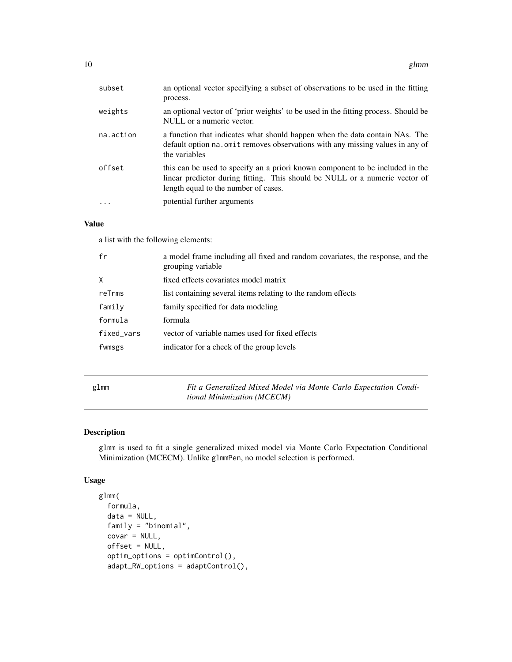<span id="page-9-0"></span>

| subset    | an optional vector specifying a subset of observations to be used in the fitting<br>process.                                                                                                         |
|-----------|------------------------------------------------------------------------------------------------------------------------------------------------------------------------------------------------------|
| weights   | an optional vector of 'prior weights' to be used in the fitting process. Should be<br>NULL or a numeric vector.                                                                                      |
| na.action | a function that indicates what should happen when the data contain NAs. The<br>default option na. omit removes observations with any missing values in any of<br>the variables                       |
| offset    | this can be used to specify an a priori known component to be included in the<br>linear predictor during fitting. This should be NULL or a numeric vector of<br>length equal to the number of cases. |
|           | potential further arguments                                                                                                                                                                          |

### Value

a list with the following elements:

| fr         | a model frame including all fixed and random covariates, the response, and the<br>grouping variable |
|------------|-----------------------------------------------------------------------------------------------------|
| X          | fixed effects covariates model matrix                                                               |
| reTrms     | list containing several items relating to the random effects                                        |
| family     | family specified for data modeling                                                                  |
| formula    | formula                                                                                             |
| fixed_vars | vector of variable names used for fixed effects                                                     |
| fwmsgs     | indicator for a check of the group levels                                                           |
|            |                                                                                                     |

<span id="page-9-1"></span>

| glmm | Fit a Generalized Mixed Model via Monte Carlo Expectation Condi- |
|------|------------------------------------------------------------------|
|      | tional Minimization (MCECM)                                      |

# Description

glmm is used to fit a single generalized mixed model via Monte Carlo Expectation Conditional Minimization (MCECM). Unlike glmmPen, no model selection is performed.

#### Usage

```
glmm(
 formula,
 data = NULL,
 family = "binomial",
  covar = NULL,offset = NULL,
 optim_options = optimControl(),
  adapt_RW_options = adaptControl(),
```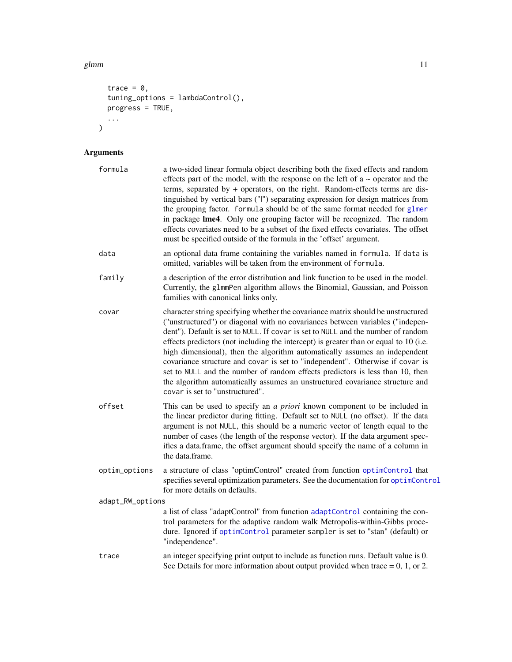#### <span id="page-10-0"></span>glmm  $11$

```
trace = 0,
 tuning_options = lambdaControl(),
 \frac{6}{5} = TRUE,
  ...
)
```

| formula          | a two-sided linear formula object describing both the fixed effects and random<br>effects part of the model, with the response on the left of $a \sim$ operator and the<br>terms, separated by + operators, on the right. Random-effects terms are dis-<br>tinguished by vertical bars ("I") separating expression for design matrices from<br>the grouping factor. formula should be of the same format needed for glmer<br>in package Ime4. Only one grouping factor will be recognized. The random<br>effects covariates need to be a subset of the fixed effects covariates. The offset<br>must be specified outside of the formula in the 'offset' argument.                                                 |
|------------------|-------------------------------------------------------------------------------------------------------------------------------------------------------------------------------------------------------------------------------------------------------------------------------------------------------------------------------------------------------------------------------------------------------------------------------------------------------------------------------------------------------------------------------------------------------------------------------------------------------------------------------------------------------------------------------------------------------------------|
| data             | an optional data frame containing the variables named in formula. If data is<br>omitted, variables will be taken from the environment of formula.                                                                                                                                                                                                                                                                                                                                                                                                                                                                                                                                                                 |
| family           | a description of the error distribution and link function to be used in the model.<br>Currently, the g1mmPen algorithm allows the Binomial, Gaussian, and Poisson<br>families with canonical links only.                                                                                                                                                                                                                                                                                                                                                                                                                                                                                                          |
| covar            | character string specifying whether the covariance matrix should be unstructured<br>("unstructured") or diagonal with no covariances between variables ("indepen-<br>dent"). Default is set to NULL. If covar is set to NULL and the number of random<br>effects predictors (not including the intercept) is greater than or equal to 10 (i.e.<br>high dimensional), then the algorithm automatically assumes an independent<br>covariance structure and covar is set to "independent". Otherwise if covar is<br>set to NULL and the number of random effects predictors is less than 10, then<br>the algorithm automatically assumes an unstructured covariance structure and<br>covar is set to "unstructured". |
| offset           | This can be used to specify an <i>a priori</i> known component to be included in<br>the linear predictor during fitting. Default set to NULL (no offset). If the data<br>argument is not NULL, this should be a numeric vector of length equal to the<br>number of cases (the length of the response vector). If the data argument spec-<br>ifies a data.frame, the offset argument should specify the name of a column in<br>the data.frame.                                                                                                                                                                                                                                                                     |
| optim_options    | a structure of class "optimControl" created from function optimControl that<br>specifies several optimization parameters. See the documentation for optimControl<br>for more details on defaults.                                                                                                                                                                                                                                                                                                                                                                                                                                                                                                                 |
| adapt_RW_options |                                                                                                                                                                                                                                                                                                                                                                                                                                                                                                                                                                                                                                                                                                                   |
|                  | a list of class "adaptControl" from function adaptControl containing the con-<br>trol parameters for the adaptive random walk Metropolis-within-Gibbs proce-<br>dure. Ignored if optimControl parameter sampler is set to "stan" (default) or<br>"independence".                                                                                                                                                                                                                                                                                                                                                                                                                                                  |
| trace            | an integer specifying print output to include as function runs. Default value is 0.<br>See Details for more information about output provided when trace $= 0, 1,$ or 2.                                                                                                                                                                                                                                                                                                                                                                                                                                                                                                                                          |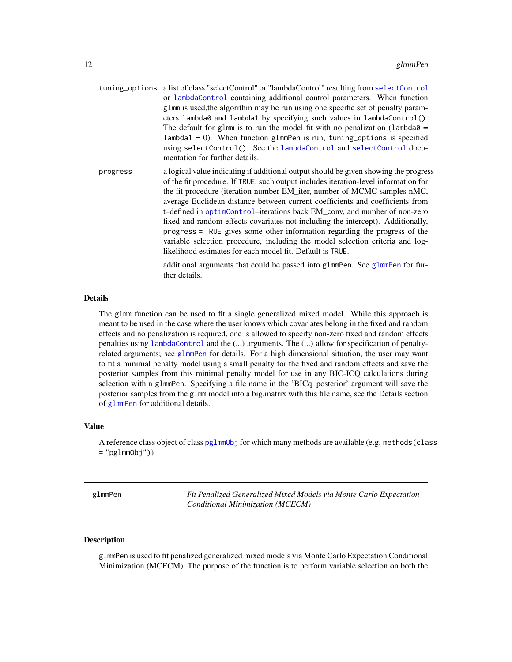- <span id="page-11-0"></span>tuning\_options a list of class "selectControl" or "lambdaControl" resulting from [selectControl](#page-17-1) or [lambdaControl](#page-17-2) containing additional control parameters. When function glmm is used,the algorithm may be run using one specific set of penalty parameters lambda0 and lambda1 by specifying such values in lambdaControl(). The default for glmm is to run the model fit with no penalization (lambda $\theta$  =  $lambda1 = 0$ ). When function glmmPen is run, tuning options is specified using selectControl(). See the [lambdaControl](#page-17-2) and [selectControl](#page-17-1) documentation for further details. progress a logical value indicating if additional output should be given showing the progress of the fit procedure. If TRUE, such output includes iteration-level information for the fit procedure (iteration number EM\_iter, number of MCMC samples nMC, average Euclidean distance between current coefficients and coefficients from t–defined in [optimControl](#page-21-1)–iterations back EM\_conv, and number of non-zero
	- fixed and random effects covariates not including the intercept). Additionally, progress = TRUE gives some other information regarding the progress of the variable selection procedure, including the model selection criteria and loglikelihood estimates for each model fit. Default is TRUE.
- ... additional arguments that could be passed into [glmmPen](#page-11-1). See glmmPen for further details.

#### Details

The glmm function can be used to fit a single generalized mixed model. While this approach is meant to be used in the case where the user knows which covariates belong in the fixed and random effects and no penalization is required, one is allowed to specify non-zero fixed and random effects penalties using [lambdaControl](#page-17-2) and the (...) arguments. The (...) allow for specification of penaltyrelated arguments; see [glmmPen](#page-11-1) for details. For a high dimensional situation, the user may want to fit a minimal penalty model using a small penalty for the fixed and random effects and save the posterior samples from this minimal penalty model for use in any BIC-ICQ calculations during selection within glmmPen. Specifying a file name in the 'BICq\_posterior' argument will save the posterior samples from the glmm model into a big.matrix with this file name, see the Details section of [glmmPen](#page-11-1) for additional details.

#### Value

A reference class object of class [pglmmObj](#page-23-1) for which many methods are available (e.g. methods (class  $=$  "pglmmObj"))

<span id="page-11-1"></span>glmmPen *Fit Penalized Generalized Mixed Models via Monte Carlo Expectation Conditional Minimization (MCECM)*

#### **Description**

glmmPen is used to fit penalized generalized mixed models via Monte Carlo Expectation Conditional Minimization (MCECM). The purpose of the function is to perform variable selection on both the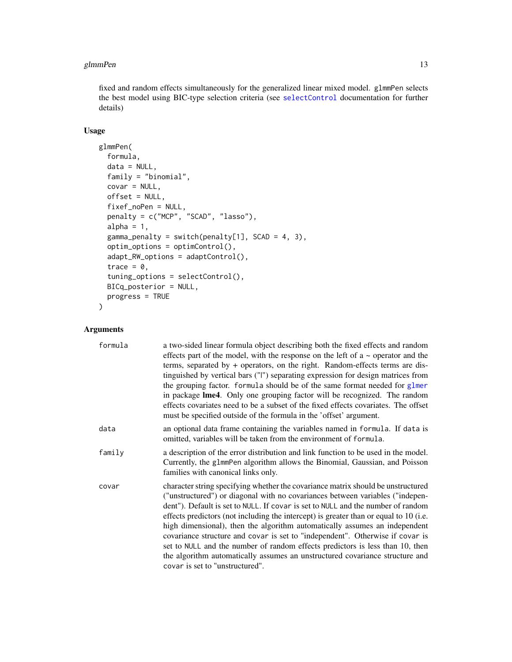#### <span id="page-12-0"></span>glmmPen 13

fixed and random effects simultaneously for the generalized linear mixed model. glmmPen selects the best model using BIC-type selection criteria (see [selectControl](#page-17-1) documentation for further details)

#### Usage

```
glmmPen(
  formula,
  data = NULL,
  family = "binomial",
  covar = NULL,offset = NULL,
  fixef_noPen = NULL,
  penalty = c("MCP", "SCAD", "lasso"),
  alpha = 1,
  gamma_penalty = switch(penalty[1], SCAD = 4, 3),
  optim_options = optimControl(),
  adapt_RW_options = adaptControl(),
  trace = \theta,
  tuning_options = selectControl(),
  BICq_posterior = NULL,
  progress = TRUE
)
```

| formula | a two-sided linear formula object describing both the fixed effects and random<br>effects part of the model, with the response on the left of $a \sim$ operator and the<br>terms, separated by $+$ operators, on the right. Random-effects terms are dis-<br>tinguished by vertical bars ("I") separating expression for design matrices from<br>the grouping factor. formula should be of the same format needed for glmer<br>in package <b>lme4</b> . Only one grouping factor will be recognized. The random<br>effects covariates need to be a subset of the fixed effects covariates. The offset<br>must be specified outside of the formula in the 'offset' argument.                                       |
|---------|-------------------------------------------------------------------------------------------------------------------------------------------------------------------------------------------------------------------------------------------------------------------------------------------------------------------------------------------------------------------------------------------------------------------------------------------------------------------------------------------------------------------------------------------------------------------------------------------------------------------------------------------------------------------------------------------------------------------|
| data    | an optional data frame containing the variables named in formula. If data is<br>omitted, variables will be taken from the environment of formula.                                                                                                                                                                                                                                                                                                                                                                                                                                                                                                                                                                 |
| family  | a description of the error distribution and link function to be used in the model.<br>Currently, the glmmPen algorithm allows the Binomial, Gaussian, and Poisson<br>families with canonical links only.                                                                                                                                                                                                                                                                                                                                                                                                                                                                                                          |
| covar   | character string specifying whether the covariance matrix should be unstructured<br>("unstructured") or diagonal with no covariances between variables ("indepen-<br>dent"). Default is set to NULL. If covar is set to NULL and the number of random<br>effects predictors (not including the intercept) is greater than or equal to 10 (i.e.<br>high dimensional), then the algorithm automatically assumes an independent<br>covariance structure and covar is set to "independent". Otherwise if covar is<br>set to NULL and the number of random effects predictors is less than 10, then<br>the algorithm automatically assumes an unstructured covariance structure and<br>covar is set to "unstructured". |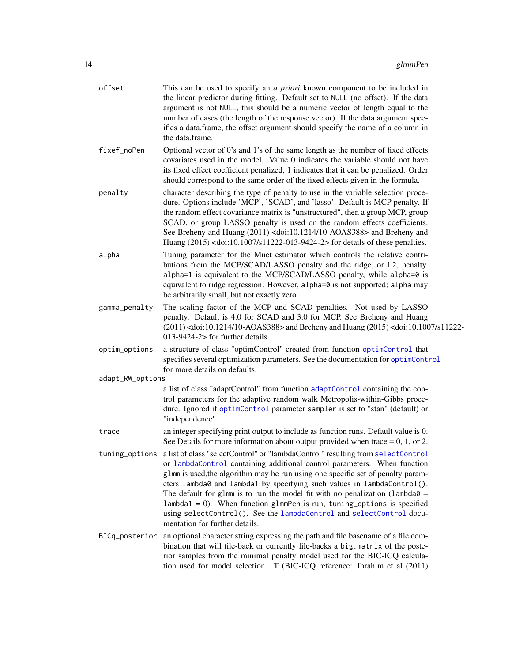<span id="page-13-0"></span>

| offset           | This can be used to specify an <i>a priori</i> known component to be included in<br>the linear predictor during fitting. Default set to NULL (no offset). If the data<br>argument is not NULL, this should be a numeric vector of length equal to the<br>number of cases (the length of the response vector). If the data argument spec-<br>ifies a data.frame, the offset argument should specify the name of a column in<br>the data.frame.                                                                                                                                                                            |
|------------------|--------------------------------------------------------------------------------------------------------------------------------------------------------------------------------------------------------------------------------------------------------------------------------------------------------------------------------------------------------------------------------------------------------------------------------------------------------------------------------------------------------------------------------------------------------------------------------------------------------------------------|
| fixef_noPen      | Optional vector of 0's and 1's of the same length as the number of fixed effects<br>covariates used in the model. Value 0 indicates the variable should not have<br>its fixed effect coefficient penalized, 1 indicates that it can be penalized. Order<br>should correspond to the same order of the fixed effects given in the formula.                                                                                                                                                                                                                                                                                |
| penalty          | character describing the type of penalty to use in the variable selection proce-<br>dure. Options include 'MCP', 'SCAD', and 'lasso'. Default is MCP penalty. If<br>the random effect covariance matrix is "unstructured", then a group MCP, group<br>SCAD, or group LASSO penalty is used on the random effects coefficients.<br>See Breheny and Huang (2011) <doi:10.1214 10-aoas388=""> and Breheny and<br/>Huang (2015) <doi:10.1007 s11222-013-9424-2=""> for details of these penalties.</doi:10.1007></doi:10.1214>                                                                                               |
| alpha            | Tuning parameter for the Mnet estimator which controls the relative contri-<br>butions from the MCP/SCAD/LASSO penalty and the ridge, or L2, penalty.<br>alpha=1 is equivalent to the MCP/SCAD/LASSO penalty, while alpha=0 is<br>equivalent to ridge regression. However, alpha=0 is not supported; alpha may<br>be arbitrarily small, but not exactly zero                                                                                                                                                                                                                                                             |
| gamma_penalty    | The scaling factor of the MCP and SCAD penalties. Not used by LASSO<br>penalty. Default is 4.0 for SCAD and 3.0 for MCP. See Breheny and Huang<br>(2011) <doi:10.1214 10-aoas388=""> and Breheny and Huang (2015) <doi:10.1007 s11222-<br="">013-9424-2&gt; for further details.</doi:10.1007></doi:10.1214>                                                                                                                                                                                                                                                                                                             |
| optim_options    | a structure of class "optimControl" created from function optimControl that<br>specifies several optimization parameters. See the documentation for optimControl<br>for more details on defaults.                                                                                                                                                                                                                                                                                                                                                                                                                        |
| adapt_RW_options |                                                                                                                                                                                                                                                                                                                                                                                                                                                                                                                                                                                                                          |
|                  | a list of class "adaptControl" from function adaptControl containing the con-<br>trol parameters for the adaptive random walk Metropolis-within-Gibbs proce-<br>dure. Ignored if optimControl parameter sampler is set to "stan" (default) or<br>"independence".                                                                                                                                                                                                                                                                                                                                                         |
| trace            | an integer specifying print output to include as function runs. Default value is 0.<br>See Details for more information about output provided when trace $= 0, 1,$ or 2.                                                                                                                                                                                                                                                                                                                                                                                                                                                 |
|                  | tuning_options a list of class "selectControl" or "lambdaControl" resulting from selectControl<br>or lambdaControl containing additional control parameters. When function<br>g1mm is used, the algorithm may be run using one specific set of penalty param-<br>eters lambda0 and lambda1 by specifying such values in lambdaControl().<br>The default for glmm is to run the model fit with no penalization (lambda $\theta$ =<br>$lambda1 = 0$ ). When function glmmPen is run, tuning options is specified<br>using selectControl(). See the lambdaControl and selectControl docu-<br>mentation for further details. |
| BICq_posterior   | an optional character string expressing the path and file basename of a file com-<br>bination that will file-back or currently file-backs a big.matrix of the poste-<br>rior samples from the minimal penalty model used for the BIC-ICQ calcula-<br>tion used for model selection. T (BIC-ICQ reference: Ibrahim et al (2011)                                                                                                                                                                                                                                                                                           |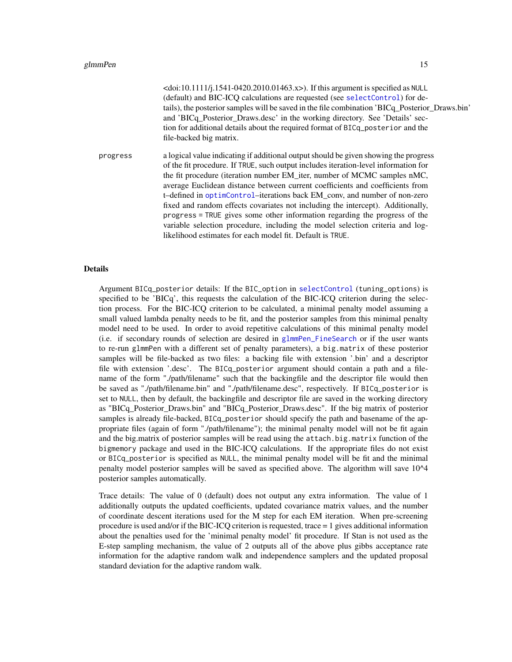<span id="page-14-0"></span>

|          | <doi:10.1111 j.1541-0420.2010.01463.x="">). If this argument is specified as NULL<br/>(default) and BIC-ICQ calculations are requested (see selectControl) for de-<br/>tails), the posterior samples will be saved in the file combination 'BICq_Posterior_Draws.bin'<br/>and 'BICq_Posterior_Draws.desc' in the working directory. See 'Details' sec-<br/>tion for additional details about the required format of BICq_posterior and the<br/>file-backed big matrix.</doi:10.1111>                                                                                                                                                                                                                                                 |
|----------|--------------------------------------------------------------------------------------------------------------------------------------------------------------------------------------------------------------------------------------------------------------------------------------------------------------------------------------------------------------------------------------------------------------------------------------------------------------------------------------------------------------------------------------------------------------------------------------------------------------------------------------------------------------------------------------------------------------------------------------|
| progress | a logical value indicating if additional output should be given showing the progress<br>of the fit procedure. If TRUE, such output includes iteration-level information for<br>the fit procedure (iteration number EM_iter, number of MCMC samples nMC,<br>average Euclidean distance between current coefficients and coefficients from<br>t-defined in optimControl-iterations back EM_conv, and number of non-zero<br>fixed and random effects covariates not including the intercept). Additionally,<br>progress = TRUE gives some other information regarding the progress of the<br>variable selection procedure, including the model selection criteria and log-<br>likelihood estimates for each model fit. Default is TRUE. |

#### Details

Argument BICq\_posterior details: If the BIC\_option in [selectControl](#page-17-1) (tuning\_options) is specified to be 'BICq', this requests the calculation of the BIC-ICQ criterion during the selection process. For the BIC-ICQ criterion to be calculated, a minimal penalty model assuming a small valued lambda penalty needs to be fit, and the posterior samples from this minimal penalty model need to be used. In order to avoid repetitive calculations of this minimal penalty model (i.e. if secondary rounds of selection are desired in [glmmPen\\_FineSearch](#page-15-1) or if the user wants to re-run glmmPen with a different set of penalty parameters), a big.matrix of these posterior samples will be file-backed as two files: a backing file with extension '.bin' and a descriptor file with extension '.desc'. The BICq\_posterior argument should contain a path and a filename of the form "./path/filename" such that the backingfile and the descriptor file would then be saved as "./path/filename.bin" and "./path/filename.desc", respectively. If BICq\_posterior is set to NULL, then by default, the backingfile and descriptor file are saved in the working directory as "BICq\_Posterior\_Draws.bin" and "BICq\_Posterior\_Draws.desc". If the big matrix of posterior samples is already file-backed, BICq\_posterior should specify the path and basename of the appropriate files (again of form "./path/filename"); the minimal penalty model will not be fit again and the big.matrix of posterior samples will be read using the attach.big.matrix function of the bigmemory package and used in the BIC-ICQ calculations. If the appropriate files do not exist or BICq\_posterior is specified as NULL, the minimal penalty model will be fit and the minimal penalty model posterior samples will be saved as specified above. The algorithm will save 10^4 posterior samples automatically.

Trace details: The value of 0 (default) does not output any extra information. The value of 1 additionally outputs the updated coefficients, updated covariance matrix values, and the number of coordinate descent iterations used for the M step for each EM iteration. When pre-screening procedure is used and/or if the BIC-ICQ criterion is requested, trace = 1 gives additional information about the penalties used for the 'minimal penalty model' fit procedure. If Stan is not used as the E-step sampling mechanism, the value of 2 outputs all of the above plus gibbs acceptance rate information for the adaptive random walk and independence samplers and the updated proposal standard deviation for the adaptive random walk.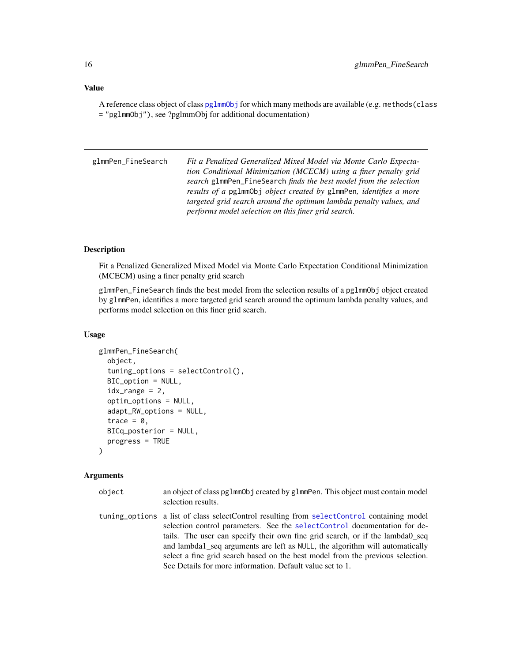#### <span id="page-15-0"></span>Value

A reference class object of class [pglmmObj](#page-23-1) for which many methods are available (e.g. methods(class = "pglmmObj"), see ?pglmmObj for additional documentation)

<span id="page-15-1"></span>glmmPen\_FineSearch *Fit a Penalized Generalized Mixed Model via Monte Carlo Expectation Conditional Minimization (MCECM) using a finer penalty grid search* glmmPen\_FineSearch *finds the best model from the selection results of a* pglmmObj *object created by* glmmPen*, identifies a more targeted grid search around the optimum lambda penalty values, and performs model selection on this finer grid search.*

#### **Description**

Fit a Penalized Generalized Mixed Model via Monte Carlo Expectation Conditional Minimization (MCECM) using a finer penalty grid search

glmmPen\_FineSearch finds the best model from the selection results of a pglmmObj object created by glmmPen, identifies a more targeted grid search around the optimum lambda penalty values, and performs model selection on this finer grid search.

#### Usage

```
glmmPen_FineSearch(
  object,
  tuning_options = selectControl(),
  BIC_option = NULL,
  idx\_range = 2,
  optim_options = NULL,
  adapt_RW_options = NULL,
  trace = \theta,
 BICq_posterior = NULL,
  progress = TRUE
)
```
- object an object of class pglmmObj created by glmmPen. This object must contain model selection results.
- tuning\_options a list of class selectControl resulting from [selectControl](#page-17-1) containing model selection control parameters. See the [selectControl](#page-17-1) documentation for details. The user can specify their own fine grid search, or if the lambda0\_seq and lambda1\_seq arguments are left as NULL, the algorithm will automatically select a fine grid search based on the best model from the previous selection. See Details for more information. Default value set to 1.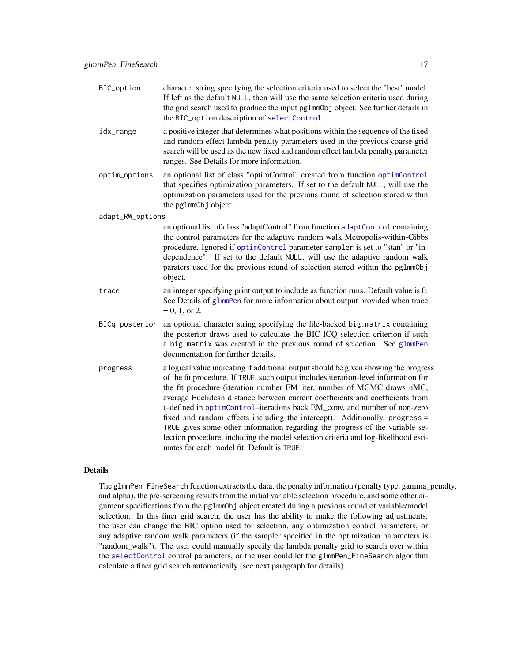<span id="page-16-0"></span>

| BIC_option       | character string specifying the selection criteria used to select the 'best' model.<br>If left as the default NULL, then will use the same selection criteria used during<br>the grid search used to produce the input pglmmObj object. See further details in<br>the BIC_option description of selectControl.                                                                                                                                                                                                                                                                                                                                                                                                         |
|------------------|------------------------------------------------------------------------------------------------------------------------------------------------------------------------------------------------------------------------------------------------------------------------------------------------------------------------------------------------------------------------------------------------------------------------------------------------------------------------------------------------------------------------------------------------------------------------------------------------------------------------------------------------------------------------------------------------------------------------|
| idx_range        | a positive integer that determines what positions within the sequence of the fixed<br>and random effect lambda penalty parameters used in the previous coarse grid<br>search will be used as the new fixed and random effect lambda penalty parameter<br>ranges. See Details for more information.                                                                                                                                                                                                                                                                                                                                                                                                                     |
| optim_options    | an optional list of class "optimControl" created from function optimControl<br>that specifies optimization parameters. If set to the default NULL, will use the<br>optimization parameters used for the previous round of selection stored within<br>the pglmmObj object.                                                                                                                                                                                                                                                                                                                                                                                                                                              |
| adapt_RW_options |                                                                                                                                                                                                                                                                                                                                                                                                                                                                                                                                                                                                                                                                                                                        |
|                  | an optional list of class "adaptControl" from function adaptControl containing<br>the control parameters for the adaptive random walk Metropolis-within-Gibbs<br>procedure. Ignored if optimControl parameter sampler is set to "stan" or "in-<br>dependence". If set to the default NULL, will use the adaptive random walk<br>paraters used for the previous round of selection stored within the pglmmObj<br>object.                                                                                                                                                                                                                                                                                                |
| trace            | an integer specifying print output to include as function runs. Default value is 0.<br>See Details of glmmPen for more information about output provided when trace<br>$= 0, 1,$ or 2.                                                                                                                                                                                                                                                                                                                                                                                                                                                                                                                                 |
| BICq_posterior   | an optional character string specifying the file-backed big.matrix containing<br>the posterior draws used to calculate the BIC-ICQ selection criterion if such<br>a big. matrix was created in the previous round of selection. See glmmPen<br>documentation for further details.                                                                                                                                                                                                                                                                                                                                                                                                                                      |
| progress         | a logical value indicating if additional output should be given showing the progress<br>of the fit procedure. If TRUE, such output includes iteration-level information for<br>the fit procedure (iteration number EM_iter, number of MCMC draws nMC,<br>average Euclidean distance between current coefficients and coefficients from<br>t-defined in optimControl-iterations back EM_conv, and number of non-zero<br>fixed and random effects including the intercept). Additionally, progress =<br>TRUE gives some other information regarding the progress of the variable se-<br>lection procedure, including the model selection criteria and log-likelihood esti-<br>mates for each model fit. Default is TRUE. |

#### Details

The glmmPen\_FineSearch function extracts the data, the penalty information (penalty type, gamma\_penalty, and alpha), the pre-screening results from the initial variable selection procedure, and some other argument specifications from the pglmmObj object created during a previous round of variable/model selection. In this finer grid search, the user has the ability to make the following adjustments: the user can change the BIC option used for selection, any optimization control parameters, or any adaptive random walk parameters (if the sampler specified in the optimization parameters is "random\_walk"). The user could manually specify the lambda penalty grid to search over within the [selectControl](#page-17-1) control parameters, or the user could let the glmmPen\_FineSearch algorithm calculate a finer grid search automatically (see next paragraph for details).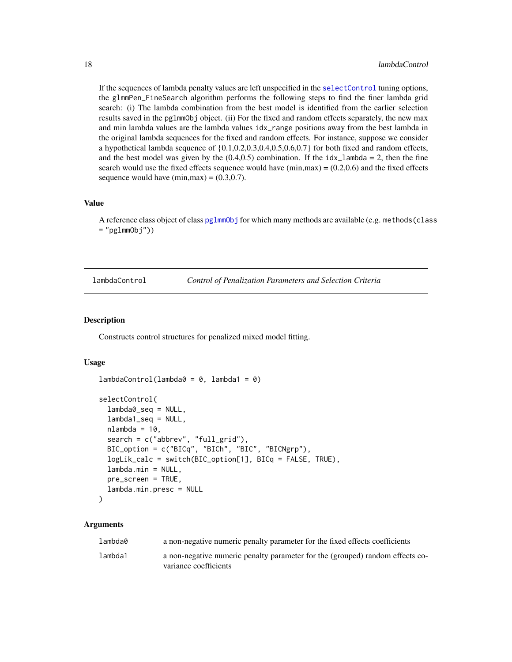<span id="page-17-0"></span>If the sequences of lambda penalty values are left unspecified in the [selectControl](#page-17-1) tuning options, the glmmPen\_FineSearch algorithm performs the following steps to find the finer lambda grid search: (i) The lambda combination from the best model is identified from the earlier selection results saved in the pglmmObj object. (ii) For the fixed and random effects separately, the new max and min lambda values are the lambda values idx\_range positions away from the best lambda in the original lambda sequences for the fixed and random effects. For instance, suppose we consider a hypothetical lambda sequence of {0.1,0.2,0.3,0.4,0.5,0.6,0.7} for both fixed and random effects, and the best model was given by the  $(0.4, 0.5)$  combination. If the idx\_lambda = 2, then the fine search would use the fixed effects sequence would have  $(\text{min,max}) = (0.2, 0.6)$  and the fixed effects sequence would have  $(min, max) = (0.3, 0.7)$ .

#### Value

A reference class object of class [pglmmObj](#page-23-1) for which many methods are available (e.g. methods(class  $=$  "pglmmObj"))

<span id="page-17-2"></span>lambdaControl *Control of Penalization Parameters and Selection Criteria*

#### <span id="page-17-1"></span>Description

Constructs control structures for penalized mixed model fitting.

 $lambdaControl(lambda@ = 0, lambda1 = 0)$ 

#### Usage

```
selectControl(
  lambda0_seq = NULL,
  lambda1_seq = NULL,
  nlambda = 10,
  search = c("abbrev", "full_grid"),
 BIC_option = c("BICq", "BICh", "BIC", "BICNgrp"),
  logLik_calc = switch(BIC_option[1], BICq = FALSE, TRUE),
  lambda.min = NULL,
 pre_screen = TRUE,
  lambda.min.presc = NULL
)
```

| lambda0 | a non-negative numeric penalty parameter for the fixed effects coefficients                            |
|---------|--------------------------------------------------------------------------------------------------------|
| lambda1 | a non-negative numeric penalty parameter for the (grouped) random effects co-<br>variance coefficients |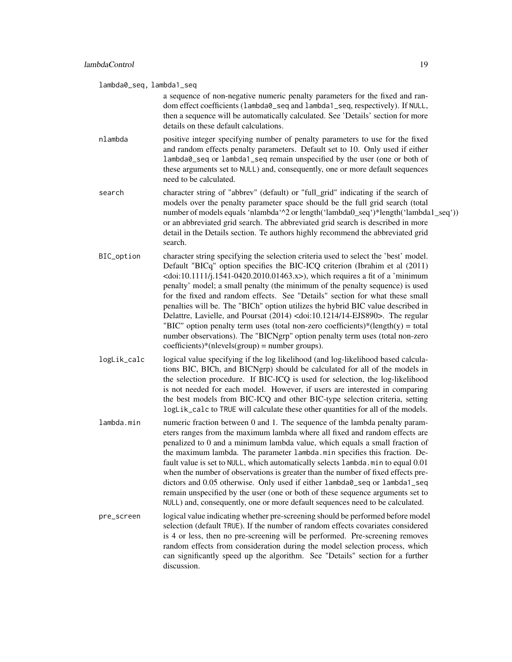lambda0\_seq, lambda1\_seq

a sequence of non-negative numeric penalty parameters for the fixed and random effect coefficients (lambda0\_seq and lambda1\_seq, respectively). If NULL, then a sequence will be automatically calculated. See 'Details' section for more details on these default calculations.

nlambda positive integer specifying number of penalty parameters to use for the fixed and random effects penalty parameters. Default set to 10. Only used if either lambda0\_seq or lambda1\_seq remain unspecified by the user (one or both of these arguments set to NULL) and, consequently, one or more default sequences need to be calculated.

- search character string of "abbrev" (default) or "full\_grid" indicating if the search of models over the penalty parameter space should be the full grid search (total number of models equals 'nlambda'<sup>^2</sup> or length('lambda0\_seq')\*length('lambda1\_seq')) or an abbreviated grid search. The abbreviated grid search is described in more detail in the Details section. Te authors highly recommend the abbreviated grid search.
- BIC\_option character string specifying the selection criteria used to select the 'best' model. Default "BICq" option specifies the BIC-ICQ criterion (Ibrahim et al (2011)  $\langle \text{doi:10.1111/}1.1541 - 0420.2010.01463.x \rangle$ , which requires a fit of a 'minimum' penalty' model; a small penalty (the minimum of the penalty sequence) is used for the fixed and random effects. See "Details" section for what these small penalties will be. The "BICh" option utilizes the hybrid BIC value described in Delattre, Lavielle, and Poursat (2014) <doi:10.1214/14-EJS890>. The regular "BIC" option penalty term uses (total non-zero coefficients)\*(length(y) = total number observations). The "BICNgrp" option penalty term uses (total non-zero  $coefficients)*(nlevels(group) = number groups).$
- logLik\_calc logical value specifying if the log likelihood (and log-likelihood based calculations BIC, BICh, and BICNgrp) should be calculated for all of the models in the selection procedure. If BIC-ICQ is used for selection, the log-likelihood is not needed for each model. However, if users are interested in comparing the best models from BIC-ICQ and other BIC-type selection criteria, setting logLik\_calc to TRUE will calculate these other quantities for all of the models.
- lambda.min numeric fraction between 0 and 1. The sequence of the lambda penalty parameters ranges from the maximum lambda where all fixed and random effects are penalized to 0 and a minimum lambda value, which equals a small fraction of the maximum lambda. The parameter lambda.min specifies this fraction. Default value is set to NULL, which automatically selects lambda.min to equal 0.01 when the number of observations is greater than the number of fixed effects predictors and 0.05 otherwise. Only used if either lambda0\_seq or lambda1\_seq remain unspecified by the user (one or both of these sequence arguments set to NULL) and, consequently, one or more default sequences need to be calculated.
- pre\_screen logical value indicating whether pre-screening should be performed before model selection (default TRUE). If the number of random effects covariates considered is 4 or less, then no pre-screening will be performed. Pre-screening removes random effects from consideration during the model selection process, which can significantly speed up the algorithm. See "Details" section for a further discussion.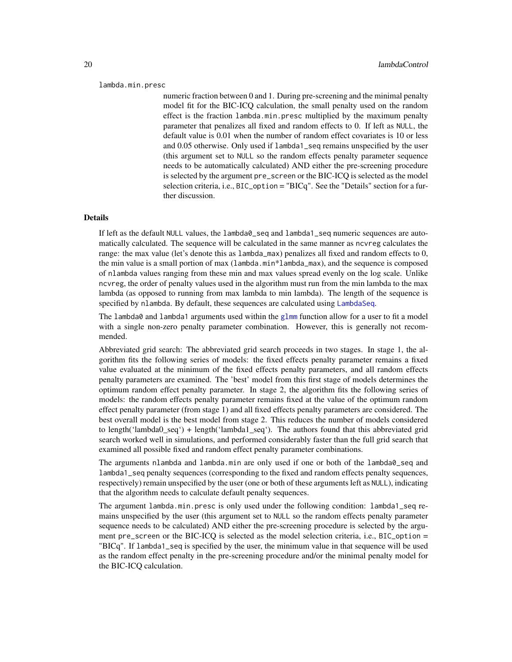#### <span id="page-19-0"></span>lambda.min.presc

numeric fraction between 0 and 1. During pre-screening and the minimal penalty model fit for the BIC-ICQ calculation, the small penalty used on the random effect is the fraction lambda.min.presc multiplied by the maximum penalty parameter that penalizes all fixed and random effects to 0. If left as NULL, the default value is 0.01 when the number of random effect covariates is 10 or less and 0.05 otherwise. Only used if lambda1\_seq remains unspecified by the user (this argument set to NULL so the random effects penalty parameter sequence needs to be automatically calculated) AND either the pre-screening procedure is selected by the argument pre\_screen or the BIC-ICQ is selected as the model selection criteria, i.e., BIC\_option = "BICq". See the "Details" section for a further discussion.

#### Details

If left as the default NULL values, the lambda0\_seq and lambda1\_seq numeric sequences are automatically calculated. The sequence will be calculated in the same manner as ncvreg calculates the range: the max value (let's denote this as lambda\_max) penalizes all fixed and random effects to 0, the min value is a small portion of max (lambda.min\*lambda\_max), and the sequence is composed of nlambda values ranging from these min and max values spread evenly on the log scale. Unlike ncvreg, the order of penalty values used in the algorithm must run from the min lambda to the max lambda (as opposed to running from max lambda to min lambda). The length of the sequence is specified by nlambda. By default, these sequences are calculated using [LambdaSeq](#page-20-1).

The lambda0 and lambda1 arguments used within the  $glmm$  function allow for a user to fit a model with a single non-zero penalty parameter combination. However, this is generally not recommended.

Abbreviated grid search: The abbreviated grid search proceeds in two stages. In stage 1, the algorithm fits the following series of models: the fixed effects penalty parameter remains a fixed value evaluated at the minimum of the fixed effects penalty parameters, and all random effects penalty parameters are examined. The 'best' model from this first stage of models determines the optimum random effect penalty parameter. In stage 2, the algorithm fits the following series of models: the random effects penalty parameter remains fixed at the value of the optimum random effect penalty parameter (from stage 1) and all fixed effects penalty parameters are considered. The best overall model is the best model from stage 2. This reduces the number of models considered to length('lambda0\_seq') + length('lambda1\_seq'). The authors found that this abbreviated grid search worked well in simulations, and performed considerably faster than the full grid search that examined all possible fixed and random effect penalty parameter combinations.

The arguments nlambda and lambda.min are only used if one or both of the lambda0\_seq and lambda1\_seq penalty sequences (corresponding to the fixed and random effects penalty sequences, respectively) remain unspecified by the user (one or both of these arguments left as NULL), indicating that the algorithm needs to calculate default penalty sequences.

The argument lambda.min.presc is only used under the following condition: lambda1\_seq remains unspecified by the user (this argument set to NULL so the random effects penalty parameter sequence needs to be calculated) AND either the pre-screening procedure is selected by the argument pre\_screen or the BIC-ICQ is selected as the model selection criteria, i.e., BIC\_option = "BICq". If lambda1\_seq is specified by the user, the minimum value in that sequence will be used as the random effect penalty in the pre-screening procedure and/or the minimal penalty model for the BIC-ICQ calculation.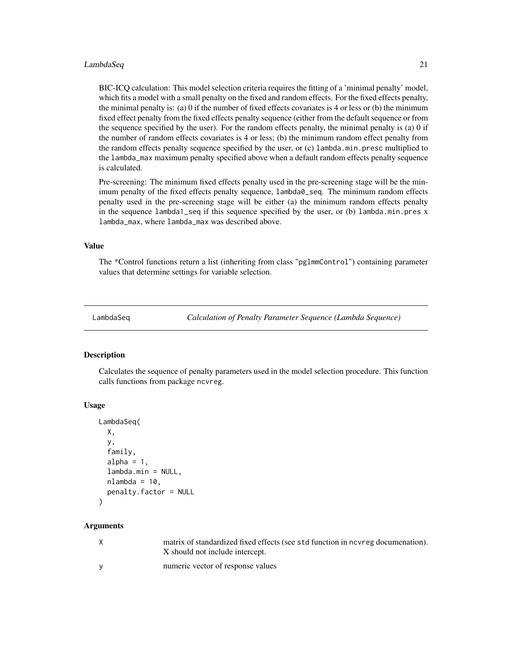#### <span id="page-20-0"></span>LambdaSeq 21

BIC-ICQ calculation: This model selection criteria requires the fitting of a 'minimal penalty' model, which fits a model with a small penalty on the fixed and random effects. For the fixed effects penalty, the minimal penalty is: (a) 0 if the number of fixed effects covariates is 4 or less or (b) the minimum fixed effect penalty from the fixed effects penalty sequence (either from the default sequence or from the sequence specified by the user). For the random effects penalty, the minimal penalty is (a) 0 if the number of random effects covariates is 4 or less; (b) the minimum random effect penalty from the random effects penalty sequence specified by the user, or (c) lambda.min.presc multiplied to the lambda\_max maximum penalty specified above when a default random effects penalty sequence is calculated.

Pre-screening: The minimum fixed effects penalty used in the pre-screening stage will be the minimum penalty of the fixed effects penalty sequence, lambda0\_seq. The minimum random effects penalty used in the pre-screening stage will be either (a) the minimum random effects penalty in the sequence lambda1\_seq if this sequence specified by the user, or (b) lambda.min.pres x lambda\_max, where lambda\_max was described above.

#### Value

The \*Control functions return a list (inheriting from class "pglmmControl") containing parameter values that determine settings for variable selection.

<span id="page-20-1"></span>LambdaSeq *Calculation of Penalty Parameter Sequence (Lambda Sequence)*

#### Description

Calculates the sequence of penalty parameters used in the model selection procedure. This function calls functions from package ncvreg.

#### Usage

```
LambdaSeq(
  X,
  y,
  family,
  alpha = 1,
  lambda.min = NULL,
  nlambda = 10,
  penalty.factor = NULL
)
```

| X        | matrix of standardized fixed effects (see std function in nevreg documenation).<br>X should not include intercept. |
|----------|--------------------------------------------------------------------------------------------------------------------|
| <b>V</b> | numeric vector of response values                                                                                  |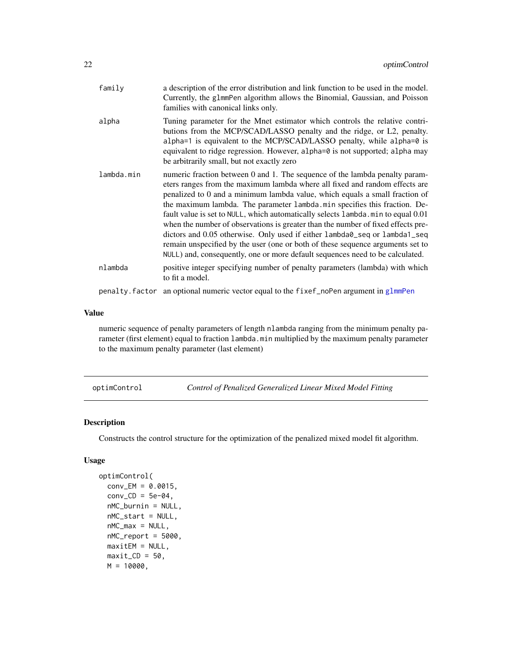<span id="page-21-0"></span>

| family     | a description of the error distribution and link function to be used in the model.<br>Currently, the glmmPen algorithm allows the Binomial, Gaussian, and Poisson<br>families with canonical links only.                                                                                                                                                                                                                                                                                                                                                                                                                                                                                                                                        |
|------------|-------------------------------------------------------------------------------------------------------------------------------------------------------------------------------------------------------------------------------------------------------------------------------------------------------------------------------------------------------------------------------------------------------------------------------------------------------------------------------------------------------------------------------------------------------------------------------------------------------------------------------------------------------------------------------------------------------------------------------------------------|
| alpha      | Tuning parameter for the Mnet estimator which controls the relative contri-<br>butions from the MCP/SCAD/LASSO penalty and the ridge, or L2, penalty.<br>alpha=1 is equivalent to the MCP/SCAD/LASSO penalty, while alpha=0 is<br>equivalent to ridge regression. However, alpha=0 is not supported; alpha may<br>be arbitrarily small, but not exactly zero                                                                                                                                                                                                                                                                                                                                                                                    |
| lambda.min | numeric fraction between 0 and 1. The sequence of the lambda penalty param-<br>eters ranges from the maximum lambda where all fixed and random effects are<br>penalized to 0 and a minimum lambda value, which equals a small fraction of<br>the maximum lambda. The parameter lambda min specifies this fraction. De-<br>fault value is set to NULL, which automatically selects lambda.min to equal 0.01<br>when the number of observations is greater than the number of fixed effects pre-<br>dictors and 0.05 otherwise. Only used if either lambda0_seq or lambda1_seq<br>remain unspecified by the user (one or both of these sequence arguments set to<br>NULL) and, consequently, one or more default sequences need to be calculated. |
| nlambda    | positive integer specifying number of penalty parameters (lambda) with which<br>to fit a model.                                                                                                                                                                                                                                                                                                                                                                                                                                                                                                                                                                                                                                                 |
|            | penalty. factor an optional numeric vector equal to the fixef_noPen argument in glmmPen                                                                                                                                                                                                                                                                                                                                                                                                                                                                                                                                                                                                                                                         |

#### Value

numeric sequence of penalty parameters of length nlambda ranging from the minimum penalty parameter (first element) equal to fraction lambda.min multiplied by the maximum penalty parameter to the maximum penalty parameter (last element)

<span id="page-21-1"></span>optimControl *Control of Penalized Generalized Linear Mixed Model Fitting*

#### Description

Constructs the control structure for the optimization of the penalized mixed model fit algorithm.

#### Usage

```
optimControl(
  conv\_EM = 0.0015,
  conv\_CD = 5e-04,
  nMC_burnin = NULL,
  nMC_start = NULL,
  nMC_max = NULL,nMC_report = 5000,
 maxitem = NULL,maxit\_CD = 50,
 M = 10000,
```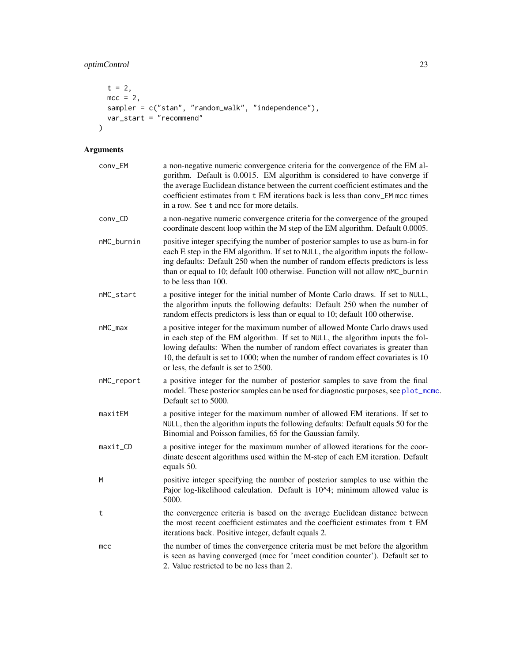# <span id="page-22-0"></span>optimControl 23

```
t = 2,mcc = 2,
  sampler = c("stan", "random_walk", "independence"),
  var_start = "recommend"
)
```

| conv_EM         | a non-negative numeric convergence criteria for the convergence of the EM al-<br>gorithm. Default is 0.0015. EM algorithm is considered to have converge if<br>the average Euclidean distance between the current coefficient estimates and the<br>coefficient estimates from t EM iterations back is less than conv_EM mcc times<br>in a row. See t and mcc for more details. |
|-----------------|--------------------------------------------------------------------------------------------------------------------------------------------------------------------------------------------------------------------------------------------------------------------------------------------------------------------------------------------------------------------------------|
| conv_CD         | a non-negative numeric convergence criteria for the convergence of the grouped<br>coordinate descent loop within the M step of the EM algorithm. Default 0.0005.                                                                                                                                                                                                               |
| nMC_burnin      | positive integer specifying the number of posterior samples to use as burn-in for<br>each E step in the EM algorithm. If set to NULL, the algorithm inputs the follow-<br>ing defaults: Default 250 when the number of random effects predictors is less<br>than or equal to 10; default 100 otherwise. Function will not allow nMC_burnin<br>to be less than 100.             |
| nMC_start       | a positive integer for the initial number of Monte Carlo draws. If set to NULL,<br>the algorithm inputs the following defaults: Default 250 when the number of<br>random effects predictors is less than or equal to 10; default 100 otherwise.                                                                                                                                |
| $nMC_max$       | a positive integer for the maximum number of allowed Monte Carlo draws used<br>in each step of the EM algorithm. If set to NULL, the algorithm inputs the fol-<br>lowing defaults: When the number of random effect covariates is greater than<br>10, the default is set to 1000; when the number of random effect covariates is 10<br>or less, the default is set to 2500.    |
| nMC_report      | a positive integer for the number of posterior samples to save from the final<br>model. These posterior samples can be used for diagnostic purposes, see plot_mcmc.<br>Default set to 5000.                                                                                                                                                                                    |
| maxitEM         | a positive integer for the maximum number of allowed EM iterations. If set to<br>NULL, then the algorithm inputs the following defaults: Default equals 50 for the<br>Binomial and Poisson families, 65 for the Gaussian family.                                                                                                                                               |
| maxit_CD        | a positive integer for the maximum number of allowed iterations for the coor-<br>dinate descent algorithms used within the M-step of each EM iteration. Default<br>equals 50.                                                                                                                                                                                                  |
| М               | positive integer specifying the number of posterior samples to use within the<br>Pajor log-likelihood calculation. Default is 10^4; minimum allowed value is<br>5000.                                                                                                                                                                                                          |
| t               | the convergence criteria is based on the average Euclidean distance between<br>the most recent coefficient estimates and the coefficient estimates from t EM<br>iterations back. Positive integer, default equals 2.                                                                                                                                                           |
| mc <sub>C</sub> | the number of times the convergence criteria must be met before the algorithm<br>is seen as having converged (mcc for 'meet condition counter'). Default set to<br>2. Value restricted to be no less than 2.                                                                                                                                                                   |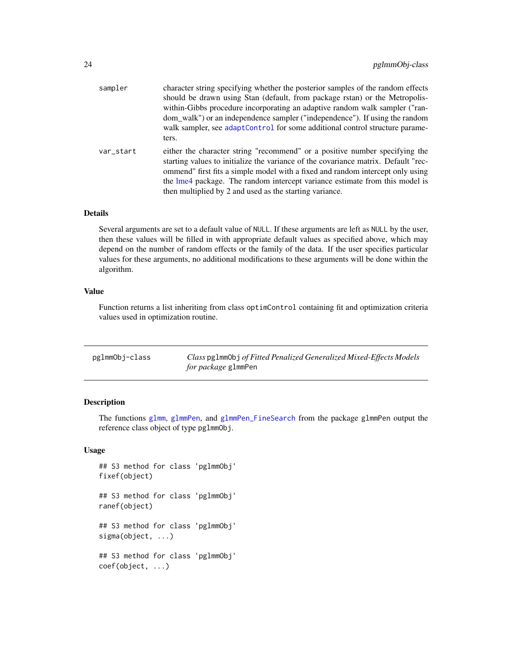<span id="page-23-0"></span>

| sampler   | character string specifying whether the posterior samples of the random effects<br>should be drawn using Stan (default, from package rstan) or the Metropolis-<br>within-Gibbs procedure incorporating an adaptive random walk sampler ("ran-<br>dom_walk") or an independence sampler ("independence"). If using the random<br>walk sampler, see adaptControl for some additional control structure parame-<br>ters. |
|-----------|-----------------------------------------------------------------------------------------------------------------------------------------------------------------------------------------------------------------------------------------------------------------------------------------------------------------------------------------------------------------------------------------------------------------------|
| var_start | either the character string "recommend" or a positive number specifying the<br>starting values to initialize the variance of the covariance matrix. Default "rec-<br>ommend" first fits a simple model with a fixed and random intercept only using<br>the lme4 package. The random intercept variance estimate from this model is<br>then multiplied by 2 and used as the starting variance.                         |

#### Details

Several arguments are set to a default value of NULL. If these arguments are left as NULL by the user, then these values will be filled in with appropriate default values as specified above, which may depend on the number of random effects or the family of the data. If the user specifies particular values for these arguments, no additional modifications to these arguments will be done within the algorithm.

#### Value

Function returns a list inheriting from class optimControl containing fit and optimization criteria values used in optimization routine.

| pglmmObj-class | Class pg1mm0bj of Fitted Penalized Generalized Mixed-Effects Models |
|----------------|---------------------------------------------------------------------|
|                | <i>for package</i> glmmPen                                          |

#### <span id="page-23-1"></span>Description

The functions [glmm](#page-9-1), [glmmPen](#page-11-1), and [glmmPen\\_FineSearch](#page-15-1) from the package glmmPen output the reference class object of type pglmmObj.

## Usage

```
## S3 method for class 'pglmmObj'
fixef(object)
## S3 method for class 'pglmmObj'
ranef(object)
## S3 method for class 'pglmmObj'
sigma(object, ...)
## S3 method for class 'pglmmObj'
coef(object, ...)
```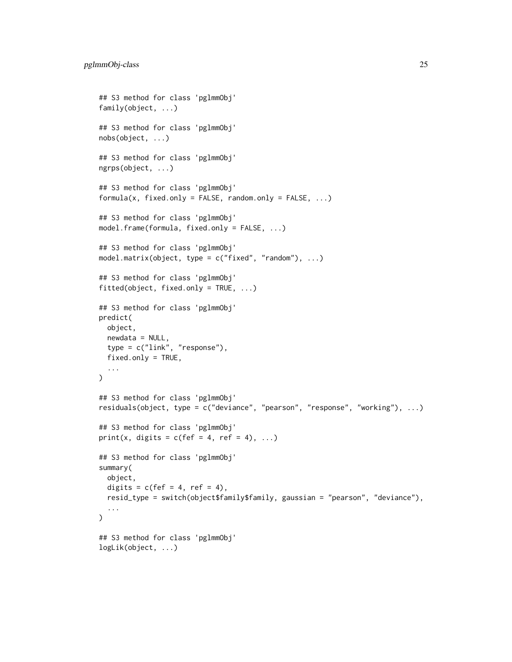```
## S3 method for class 'pglmmObj'
family(object, ...)
## S3 method for class 'pglmmObj'
nobs(object, ...)
## S3 method for class 'pglmmObj'
ngrps(object, ...)
## S3 method for class 'pglmmObj'
formula(x, fixed-only = FALSE, random-only = FALSE, ...)## S3 method for class 'pglmmObj'
model.frame(formula, fixed.only = FALSE, ...)
## S3 method for class 'pglmmObj'
model.matrix(object, type = c("fixed", "random"), ...)
## S3 method for class 'pglmmObj'
fitted(object, fixed.only = TRUE, ...)
## S3 method for class 'pglmmObj'
predict(
 object,
  newdata = NULL,type = c("link", "response"),
  fixed.only = TRUE,
  ...
\mathcal{L}## S3 method for class 'pglmmObj'
residuals(object, type = c("deviance", "pearson", "response", "working"), ...)
## S3 method for class 'pglmmObj'
print(x, digits = c(fef = 4, ref = 4), ...)
## S3 method for class 'pglmmObj'
summary(
 object,
  digits = c(fef = 4, ref = 4),
  resid_type = switch(object$family$family, gaussian = "pearson", "deviance"),
  ...
\mathcal{L}## S3 method for class 'pglmmObj'
logLik(object, ...)
```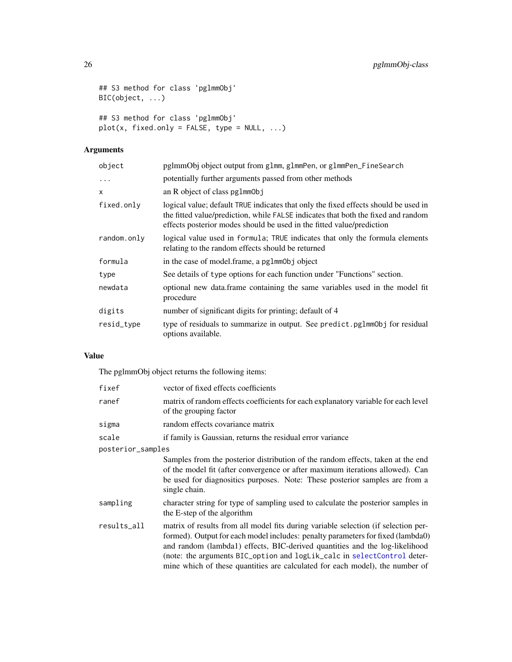```
## S3 method for class 'pglmmObj'
BIC(object, ...)
## S3 method for class 'pglmmObj'
plot(x, fixed-only = FALSE, type = NULL, ...)
```
# Arguments

| object      | pglmmObj object output from glmm, glmmPen, or glmmPen_FineSearch                                                                                                                                                                                  |
|-------------|---------------------------------------------------------------------------------------------------------------------------------------------------------------------------------------------------------------------------------------------------|
| $\ddots$    | potentially further arguments passed from other methods                                                                                                                                                                                           |
| X           | an R object of class $pglmmObj$                                                                                                                                                                                                                   |
| fixed.only  | logical value; default TRUE indicates that only the fixed effects should be used in<br>the fitted value/prediction, while FALSE indicates that both the fixed and random<br>effects posterior modes should be used in the fitted value/prediction |
| random.only | logical value used in formula; TRUE indicates that only the formula elements<br>relating to the random effects should be returned                                                                                                                 |
| formula     | in the case of model.frame, a pglmm0bj object                                                                                                                                                                                                     |
| type        | See details of type options for each function under "Functions" section.                                                                                                                                                                          |
| newdata     | optional new data.frame containing the same variables used in the model fit<br>procedure                                                                                                                                                          |
| digits      | number of significant digits for printing; default of 4                                                                                                                                                                                           |
| resid_type  | type of residuals to summarize in output. See predict.pglmmObj for residual<br>options available.                                                                                                                                                 |

#### Value

The pglmmObj object returns the following items:

| fixef             | vector of fixed effects coefficients                                                                                                                                                                                                                                                                                                                                                                            |
|-------------------|-----------------------------------------------------------------------------------------------------------------------------------------------------------------------------------------------------------------------------------------------------------------------------------------------------------------------------------------------------------------------------------------------------------------|
| ranef             | matrix of random effects coefficients for each explanatory variable for each level<br>of the grouping factor                                                                                                                                                                                                                                                                                                    |
| sigma             | random effects covariance matrix                                                                                                                                                                                                                                                                                                                                                                                |
| scale             | if family is Gaussian, returns the residual error variance                                                                                                                                                                                                                                                                                                                                                      |
| posterior_samples |                                                                                                                                                                                                                                                                                                                                                                                                                 |
|                   | Samples from the posterior distribution of the random effects, taken at the end<br>of the model fit (after convergence or after maximum iterations allowed). Can<br>be used for diagnositics purposes. Note: These posterior samples are from a<br>single chain.                                                                                                                                                |
| sampling          | character string for type of sampling used to calculate the posterior samples in<br>the E-step of the algorithm                                                                                                                                                                                                                                                                                                 |
| results_all       | matrix of results from all model fits during variable selection (if selection per-<br>formed). Output for each model includes: penalty parameters for fixed (lambda0)<br>and random (lambda1) effects, BIC-derived quantities and the log-likelihood<br>(note: the arguments BIC_option and logLik_calc in selectControl deter-<br>mine which of these quantities are calculated for each model), the number of |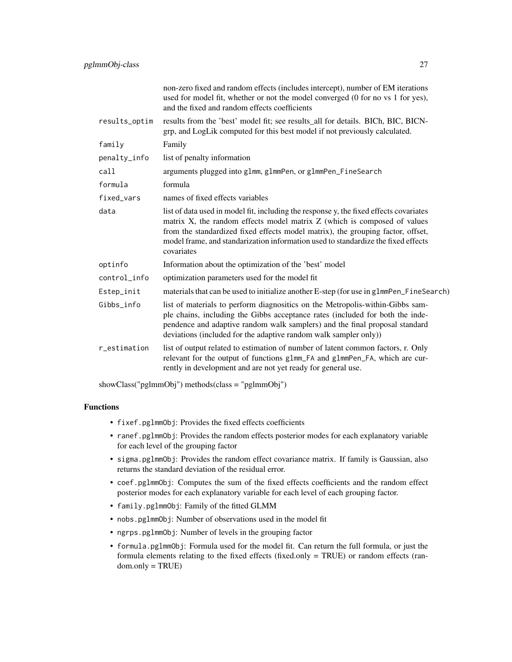|               | non-zero fixed and random effects (includes intercept), number of EM iterations<br>used for model fit, whether or not the model converged (0 for no vs 1 for yes),<br>and the fixed and random effects coefficients                                                                                                                                      |
|---------------|----------------------------------------------------------------------------------------------------------------------------------------------------------------------------------------------------------------------------------------------------------------------------------------------------------------------------------------------------------|
| results_optim | results from the 'best' model fit; see results_all for details. BICh, BIC, BICN-<br>grp, and LogLik computed for this best model if not previously calculated.                                                                                                                                                                                           |
| family        | Family                                                                                                                                                                                                                                                                                                                                                   |
| penalty_info  | list of penalty information                                                                                                                                                                                                                                                                                                                              |
| call          | arguments plugged into glmm, glmmPen, or glmmPen_FineSearch                                                                                                                                                                                                                                                                                              |
| formula       | formula                                                                                                                                                                                                                                                                                                                                                  |
| fixed vars    | names of fixed effects variables                                                                                                                                                                                                                                                                                                                         |
| data          | list of data used in model fit, including the response y, the fixed effects covariates<br>matrix X, the random effects model matrix Z (which is composed of values<br>from the standardized fixed effects model matrix), the grouping factor, offset,<br>model frame, and standarization information used to standardize the fixed effects<br>covariates |
| optinfo       | Information about the optimization of the 'best' model                                                                                                                                                                                                                                                                                                   |
| control_info  | optimization parameters used for the model fit                                                                                                                                                                                                                                                                                                           |
| Estep_init    | materials that can be used to initialize another E-step (for use in glmmPen_FineSearch)                                                                                                                                                                                                                                                                  |
| Gibbs_info    | list of materials to perform diagnositics on the Metropolis-within-Gibbs sam-<br>ple chains, including the Gibbs acceptance rates (included for both the inde-<br>pendence and adaptive random walk samplers) and the final proposal standard<br>deviations (included for the adaptive random walk sampler only))                                        |
| r_estimation  | list of output related to estimation of number of latent common factors, r. Only<br>relevant for the output of functions glmm_FA and glmmPen_FA, which are cur-<br>rently in development and are not yet ready for general use.                                                                                                                          |

showClass("pglmmObj") methods(class = "pglmmObj")

#### Functions

- fixef.pglmmObj: Provides the fixed effects coefficients
- ranef.pglmmObj: Provides the random effects posterior modes for each explanatory variable for each level of the grouping factor
- sigma.pglmmObj: Provides the random effect covariance matrix. If family is Gaussian, also returns the standard deviation of the residual error.
- coef.pglmmObj: Computes the sum of the fixed effects coefficients and the random effect posterior modes for each explanatory variable for each level of each grouping factor.
- family.pglmmObj: Family of the fitted GLMM
- nobs.pglmmObj: Number of observations used in the model fit
- ngrps.pglmmObj: Number of levels in the grouping factor
- formula.pglmmObj: Formula used for the model fit. Can return the full formula, or just the formula elements relating to the fixed effects (fixed.only = TRUE) or random effects (ran $dom-only = TRUE$ )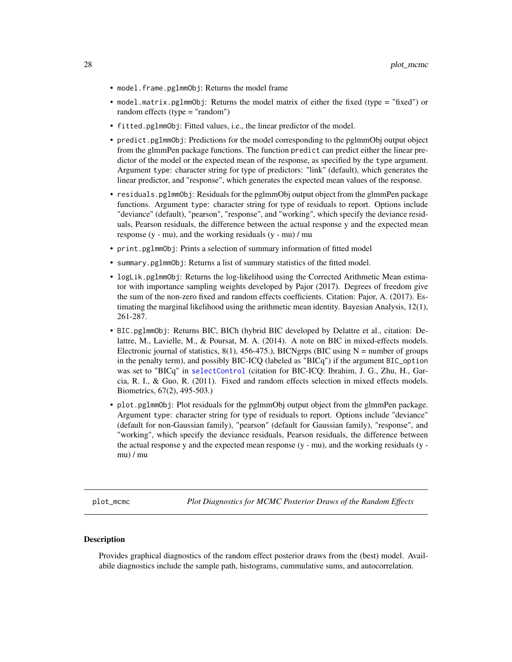- <span id="page-27-0"></span>• model.frame.pglmmObj: Returns the model frame
- model.matrix.pglmmObj: Returns the model matrix of either the fixed (type = "fixed") or random effects (type = "random")
- fitted.pglmmObj: Fitted values, i.e., the linear predictor of the model.
- predict.pglmmObj: Predictions for the model corresponding to the pglmmObj output object from the glmmPen package functions. The function predict can predict either the linear predictor of the model or the expected mean of the response, as specified by the type argument. Argument type: character string for type of predictors: "link" (default), which generates the linear predictor, and "response", which generates the expected mean values of the response.
- residuals.pglmmObj: Residuals for the pglmmObj output object from the glmmPen package functions. Argument type: character string for type of residuals to report. Options include "deviance" (default), "pearson", "response", and "working", which specify the deviance residuals, Pearson residuals, the difference between the actual response y and the expected mean response (y - mu), and the working residuals (y - mu) / mu
- print.pglmmObj: Prints a selection of summary information of fitted model
- summary.pglmmObj: Returns a list of summary statistics of the fitted model.
- logLik.pglmmObj: Returns the log-likelihood using the Corrected Arithmetic Mean estimator with importance sampling weights developed by Pajor (2017). Degrees of freedom give the sum of the non-zero fixed and random effects coefficients. Citation: Pajor, A. (2017). Estimating the marginal likelihood using the arithmetic mean identity. Bayesian Analysis, 12(1), 261-287.
- BIC.pglmmObj: Returns BIC, BICh (hybrid BIC developed by Delattre et al., citation: Delattre, M., Lavielle, M., & Poursat, M. A. (2014). A note on BIC in mixed-effects models. Electronic journal of statistics,  $8(1)$ ,  $456-475$ .), BICNgrps (BIC using N = number of groups in the penalty term), and possibly BIC-ICQ (labeled as "BICq") if the argument BIC\_option was set to "BICq" in [selectControl](#page-17-1) (citation for BIC-ICQ: Ibrahim, J. G., Zhu, H., Garcia, R. I., & Guo, R. (2011). Fixed and random effects selection in mixed effects models. Biometrics, 67(2), 495-503.)
- plot.pglmmObj: Plot residuals for the pglmmObj output object from the glmmPen package. Argument type: character string for type of residuals to report. Options include "deviance" (default for non-Gaussian family), "pearson" (default for Gaussian family), "response", and "working", which specify the deviance residuals, Pearson residuals, the difference between the actual response y and the expected mean response (y - mu), and the working residuals (y mu) / mu

<span id="page-27-1"></span>plot\_mcmc *Plot Diagnostics for MCMC Posterior Draws of the Random Effects*

#### **Description**

Provides graphical diagnostics of the random effect posterior draws from the (best) model. Availabile diagnostics include the sample path, histograms, cummulative sums, and autocorrelation.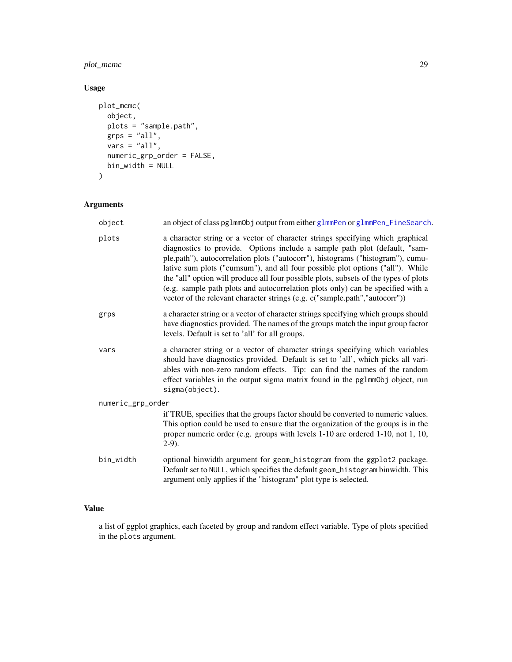# <span id="page-28-0"></span>plot\_mcmc 29

# Usage

```
plot_mcmc(
 object,
 plots = "sample.path",
  grps = "all",vars = "all",numeric_grp_order = FALSE,
 bin_width = NULL
)
```
# Arguments

| object            | an object of class pglmmObj output from either glmmPen or glmmPen_FineSearch.                                                                                                                                                                                                                                                                                                                                                                                                                                                                                                               |
|-------------------|---------------------------------------------------------------------------------------------------------------------------------------------------------------------------------------------------------------------------------------------------------------------------------------------------------------------------------------------------------------------------------------------------------------------------------------------------------------------------------------------------------------------------------------------------------------------------------------------|
| plots             | a character string or a vector of character strings specifying which graphical<br>diagnostics to provide. Options include a sample path plot (default, "sam-<br>ple.path"), autocorrelation plots ("autocorr"), histograms ("histogram"), cumu-<br>lative sum plots ("cumsum"), and all four possible plot options ("all"). While<br>the "all" option will produce all four possible plots, subsets of the types of plots<br>(e.g. sample path plots and autocorrelation plots only) can be specified with a<br>vector of the relevant character strings (e.g. c("sample.path","autocorr")) |
| grps              | a character string or a vector of character strings specifying which groups should<br>have diagnostics provided. The names of the groups match the input group factor<br>levels. Default is set to 'all' for all groups.                                                                                                                                                                                                                                                                                                                                                                    |
| vars              | a character string or a vector of character strings specifying which variables<br>should have diagnostics provided. Default is set to 'all', which picks all vari-<br>ables with non-zero random effects. Tip: can find the names of the random<br>effect variables in the output sigma matrix found in the pglmmObj object, run<br>sigma(object).                                                                                                                                                                                                                                          |
| numeric_grp_order |                                                                                                                                                                                                                                                                                                                                                                                                                                                                                                                                                                                             |
|                   | if TRUE, specifies that the groups factor should be converted to numeric values.<br>This option could be used to ensure that the organization of the groups is in the<br>proper numeric order (e.g. groups with levels 1-10 are ordered 1-10, not 1, 10,<br>$2-9$ ).                                                                                                                                                                                                                                                                                                                        |
| bin_width         | optional binwidth argument for geom_histogram from the ggplot2 package.<br>Default set to NULL, which specifies the default geom_histogram binwidth. This<br>argument only applies if the "histogram" plot type is selected.                                                                                                                                                                                                                                                                                                                                                                |
|                   |                                                                                                                                                                                                                                                                                                                                                                                                                                                                                                                                                                                             |

### Value

a list of ggplot graphics, each faceted by group and random effect variable. Type of plots specified in the plots argument.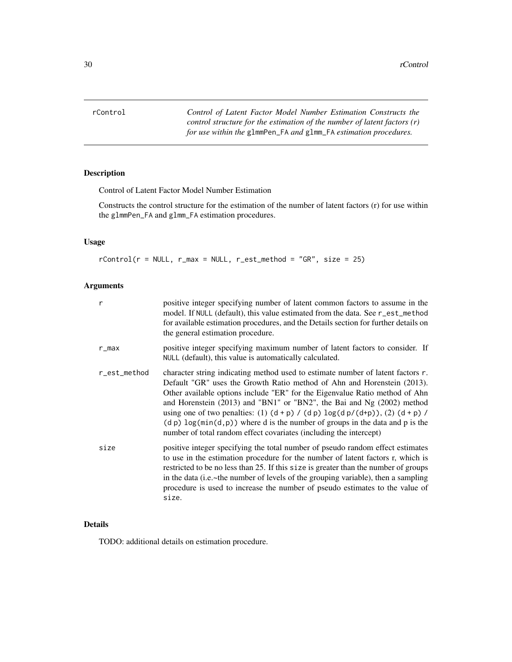<span id="page-29-0"></span>rControl *Control of Latent Factor Model Number Estimation Constructs the control structure for the estimation of the number of latent factors (r) for use within the* glmmPen\_FA *and* glmm\_FA *estimation procedures.*

#### Description

Control of Latent Factor Model Number Estimation

Constructs the control structure for the estimation of the number of latent factors (r) for use within the glmmPen\_FA and glmm\_FA estimation procedures.

#### Usage

 $rControl(r = NULL, r_max = NULL, r_set_method = "GR", size = 25)$ 

#### Arguments

| r            | positive integer specifying number of latent common factors to assume in the<br>model. If NULL (default), this value estimated from the data. See r_est_method<br>for available estimation procedures, and the Details section for further details on<br>the general estimation procedure.                                                                                                                                                                                                                                                                                   |
|--------------|------------------------------------------------------------------------------------------------------------------------------------------------------------------------------------------------------------------------------------------------------------------------------------------------------------------------------------------------------------------------------------------------------------------------------------------------------------------------------------------------------------------------------------------------------------------------------|
| r_max        | positive integer specifying maximum number of latent factors to consider. If<br>NULL (default), this value is automatically calculated.                                                                                                                                                                                                                                                                                                                                                                                                                                      |
| r_est_method | character string indicating method used to estimate number of latent factors r.<br>Default "GR" uses the Growth Ratio method of Ahn and Horenstein (2013).<br>Other available options include "ER" for the Eigenvalue Ratio method of Ahn<br>and Horenstein (2013) and "BN1" or "BN2", the Bai and Ng (2002) method<br>using one of two penalties: (1) $(d + p) / (dp) \log(d p/(d+p))$ , (2) $(d + p) / (d + p)$<br>$(d p) \log(\min(d, p))$ where d is the number of groups in the data and p is the<br>number of total random effect covariates (including the intercept) |
| size         | positive integer specifying the total number of pseudo random effect estimates<br>to use in the estimation procedure for the number of latent factors r, which is<br>restricted to be no less than 25. If this size is greater than the number of groups<br>in the data (i.e.~the number of levels of the grouping variable), then a sampling<br>procedure is used to increase the number of pseudo estimates to the value of<br>size.                                                                                                                                       |

#### Details

TODO: additional details on estimation procedure.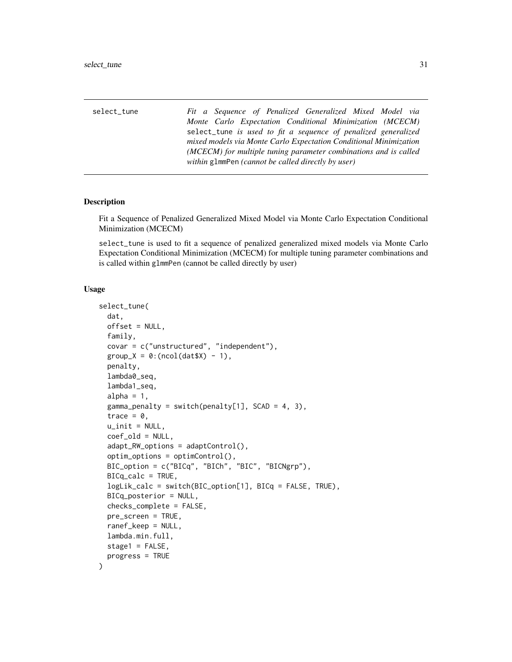<span id="page-30-0"></span>

| select_tune | Fit a Sequence of Penalized Generalized Mixed Model via           |
|-------------|-------------------------------------------------------------------|
|             | Monte Carlo Expectation Conditional Minimization (MCECM)          |
|             | select_tune is used to fit a sequence of penalized generalized    |
|             | mixed models via Monte Carlo Expectation Conditional Minimization |
|             | (MCECM) for multiple tuning parameter combinations and is called  |
|             | within g1mmPen (cannot be called directly by user)                |

#### Description

Fit a Sequence of Penalized Generalized Mixed Model via Monte Carlo Expectation Conditional Minimization (MCECM)

select\_tune is used to fit a sequence of penalized generalized mixed models via Monte Carlo Expectation Conditional Minimization (MCECM) for multiple tuning parameter combinations and is called within glmmPen (cannot be called directly by user)

#### Usage

```
select_tune(
  dat,
  offset = NULL,family,
  covar = c("unstructured", "independent"),
  group_X = 0: (ncol(data) - 1),penalty,
  lambda0_seq,
  lambda1_seq,
  alpha = 1,
  gamma_penalty = switch(penalty[1], SCAD = 4, 3),
  trace = 0,
  u\_init = NULL,coef_old = NULL,
  adapt_RW_options = adaptControl(),
  optim_options = optimControl(),
 BIC_option = c("BICq", "BICh", "BIC", "BICNgrp"),
 BICq_calc = TRUE,
  logLik_calc = switch(BIC_option[1], BICq = FALSE, TRUE),
  BICq_posterior = NULL,
  checks_complete = FALSE,
  pre_screen = TRUE,
  ranef_keep = NULL,
  lambda.min.full,
  stage1 = FALSE,
 progress = TRUE
)
```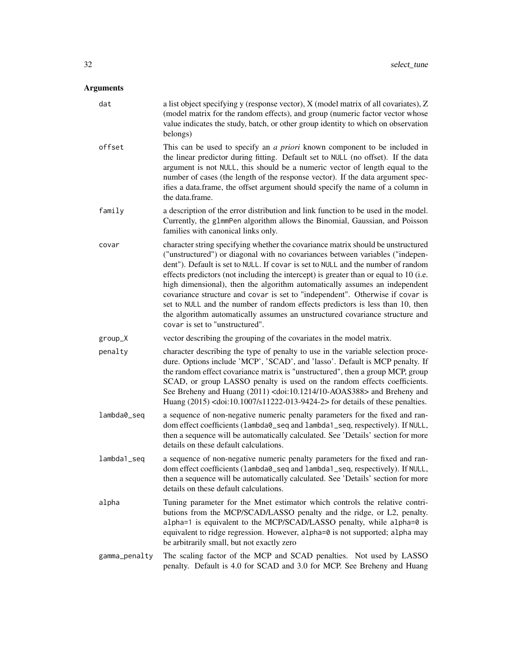| dat           | a list object specifying y (response vector), X (model matrix of all covariates), Z<br>(model matrix for the random effects), and group (numeric factor vector whose<br>value indicates the study, batch, or other group identity to which on observation<br>belongs)                                                                                                                                                                                                                                                                                                                                                                                                                                             |
|---------------|-------------------------------------------------------------------------------------------------------------------------------------------------------------------------------------------------------------------------------------------------------------------------------------------------------------------------------------------------------------------------------------------------------------------------------------------------------------------------------------------------------------------------------------------------------------------------------------------------------------------------------------------------------------------------------------------------------------------|
| offset        | This can be used to specify an <i>a priori</i> known component to be included in<br>the linear predictor during fitting. Default set to NULL (no offset). If the data<br>argument is not NULL, this should be a numeric vector of length equal to the<br>number of cases (the length of the response vector). If the data argument spec-<br>ifies a data.frame, the offset argument should specify the name of a column in<br>the data.frame.                                                                                                                                                                                                                                                                     |
| family        | a description of the error distribution and link function to be used in the model.<br>Currently, the glmmPen algorithm allows the Binomial, Gaussian, and Poisson<br>families with canonical links only.                                                                                                                                                                                                                                                                                                                                                                                                                                                                                                          |
| covar         | character string specifying whether the covariance matrix should be unstructured<br>("unstructured") or diagonal with no covariances between variables ("indepen-<br>dent"). Default is set to NULL. If covar is set to NULL and the number of random<br>effects predictors (not including the intercept) is greater than or equal to 10 (i.e.<br>high dimensional), then the algorithm automatically assumes an independent<br>covariance structure and covar is set to "independent". Otherwise if covar is<br>set to NULL and the number of random effects predictors is less than 10, then<br>the algorithm automatically assumes an unstructured covariance structure and<br>covar is set to "unstructured". |
| group_X       | vector describing the grouping of the covariates in the model matrix.                                                                                                                                                                                                                                                                                                                                                                                                                                                                                                                                                                                                                                             |
| penalty       | character describing the type of penalty to use in the variable selection proce-<br>dure. Options include 'MCP', 'SCAD', and 'lasso'. Default is MCP penalty. If<br>the random effect covariance matrix is "unstructured", then a group MCP, group<br>SCAD, or group LASSO penalty is used on the random effects coefficients.<br>See Breheny and Huang (2011) <doi:10.1214 10-aoas388=""> and Breheny and<br/>Huang (2015) <doi:10.1007 s11222-013-9424-2=""> for details of these penalties.</doi:10.1007></doi:10.1214>                                                                                                                                                                                        |
| lambda0_seq   | a sequence of non-negative numeric penalty parameters for the fixed and ran-<br>dom effect coefficients (lambda0_seq and lambda1_seq, respectively). If NULL,<br>then a sequence will be automatically calculated. See 'Details' section for more<br>details on these default calculations.                                                                                                                                                                                                                                                                                                                                                                                                                       |
| lambda1_seq   | a sequence of non-negative numeric penalty parameters for the fixed and ran-<br>dom effect coefficients (lambda0_seq and lambda1_seq, respectively). If NULL,<br>then a sequence will be automatically calculated. See 'Details' section for more<br>details on these default calculations.                                                                                                                                                                                                                                                                                                                                                                                                                       |
| alpha         | Tuning parameter for the Mnet estimator which controls the relative contri-<br>butions from the MCP/SCAD/LASSO penalty and the ridge, or L2, penalty.<br>alpha=1 is equivalent to the MCP/SCAD/LASSO penalty, while alpha=0 is<br>equivalent to ridge regression. However, alpha=0 is not supported; alpha may<br>be arbitrarily small, but not exactly zero                                                                                                                                                                                                                                                                                                                                                      |
| gamma_penalty | The scaling factor of the MCP and SCAD penalties. Not used by LASSO<br>penalty. Default is 4.0 for SCAD and 3.0 for MCP. See Breheny and Huang                                                                                                                                                                                                                                                                                                                                                                                                                                                                                                                                                                    |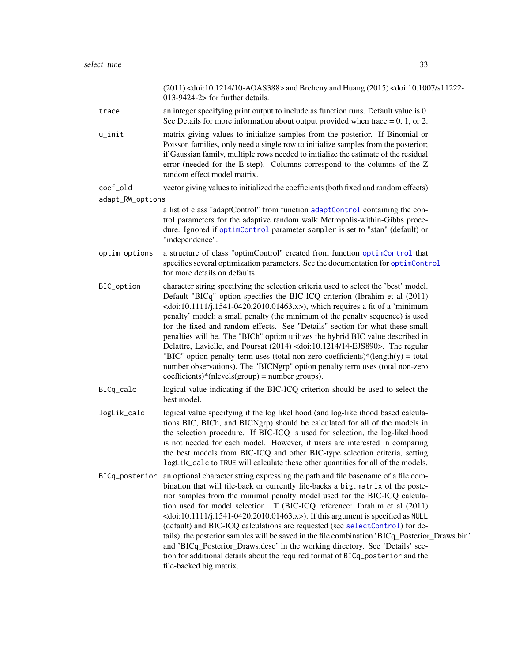<span id="page-32-0"></span>u\_init matrix giving values to initialize samples from the posterior. If Binomial or Poisson families, only need a single row to initialize samples from the posterior; if Gaussian family, multiple rows needed to initialize the estimate of the residual error (needed for the E-step). Columns correspond to the columns of the Z random effect model matrix.

013-9424-2> for further details.

coef\_old vector giving values to initialized the coefficients (both fixed and random effects)

adapt\_RW\_options

a list of class "adaptControl" from function [adaptControl](#page-1-1) containing the control parameters for the adaptive random walk Metropolis-within-Gibbs procedure. Ignored if [optimControl](#page-21-1) parameter sampler is set to "stan" (default) or "independence".

- optim\_options a structure of class "optimControl" created from function [optimControl](#page-21-1) that specifies several optimization parameters. See the documentation for [optimControl](#page-21-1) for more details on defaults.
- BIC\_option character string specifying the selection criteria used to select the 'best' model. Default "BICq" option specifies the BIC-ICQ criterion (Ibrahim et al (2011)  $\alpha$  <doi:10.1111/j.1541-0420.2010.01463.x>), which requires a fit of a 'minimum' penalty' model; a small penalty (the minimum of the penalty sequence) is used for the fixed and random effects. See "Details" section for what these small penalties will be. The "BICh" option utilizes the hybrid BIC value described in Delattre, Lavielle, and Poursat (2014) <doi:10.1214/14-EJS890>. The regular "BIC" option penalty term uses (total non-zero coefficients)\*(length(y) = total number observations). The "BICNgrp" option penalty term uses (total non-zero  $coefficients)*(nlevels(group) = number groups).$
- BICq\_calc logical value indicating if the BIC-ICQ criterion should be used to select the best model.
- logLik\_calc logical value specifying if the log likelihood (and log-likelihood based calculations BIC, BICh, and BICNgrp) should be calculated for all of the models in the selection procedure. If BIC-ICQ is used for selection, the log-likelihood is not needed for each model. However, if users are interested in comparing the best models from BIC-ICQ and other BIC-type selection criteria, setting logLik\_calc to TRUE will calculate these other quantities for all of the models.
- BICq\_posterior an optional character string expressing the path and file basename of a file combination that will file-back or currently file-backs a big.matrix of the posterior samples from the minimal penalty model used for the BIC-ICQ calculation used for model selection. T (BIC-ICQ reference: Ibrahim et al (2011)  $\leq$ doi:10.1111/j.1541-0420.2010.01463.x>). If this argument is specified as NULL (default) and BIC-ICQ calculations are requested (see [selectControl](#page-17-1)) for details), the posterior samples will be saved in the file combination 'BICq\_Posterior\_Draws.bin' and 'BICq\_Posterior\_Draws.desc' in the working directory. See 'Details' section for additional details about the required format of BICq\_posterior and the file-backed big matrix.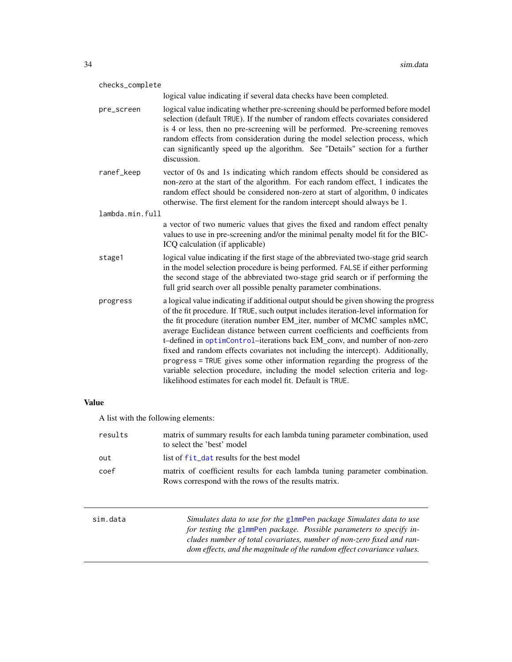<span id="page-33-0"></span>

| checks_complete |                                                                                                                                                                                                                                                                                                                                                                                                                                                                                                                                                                                                                                                                                                                                      |  |
|-----------------|--------------------------------------------------------------------------------------------------------------------------------------------------------------------------------------------------------------------------------------------------------------------------------------------------------------------------------------------------------------------------------------------------------------------------------------------------------------------------------------------------------------------------------------------------------------------------------------------------------------------------------------------------------------------------------------------------------------------------------------|--|
|                 | logical value indicating if several data checks have been completed.                                                                                                                                                                                                                                                                                                                                                                                                                                                                                                                                                                                                                                                                 |  |
| pre_screen      | logical value indicating whether pre-screening should be performed before model<br>selection (default TRUE). If the number of random effects covariates considered<br>is 4 or less, then no pre-screening will be performed. Pre-screening removes<br>random effects from consideration during the model selection process, which<br>can significantly speed up the algorithm. See "Details" section for a further<br>discussion.                                                                                                                                                                                                                                                                                                    |  |
| ranef_keep      | vector of 0s and 1s indicating which random effects should be considered as<br>non-zero at the start of the algorithm. For each random effect, 1 indicates the<br>random effect should be considered non-zero at start of algorithm, 0 indicates<br>otherwise. The first element for the random intercept should always be 1.                                                                                                                                                                                                                                                                                                                                                                                                        |  |
| lambda.min.full |                                                                                                                                                                                                                                                                                                                                                                                                                                                                                                                                                                                                                                                                                                                                      |  |
|                 | a vector of two numeric values that gives the fixed and random effect penalty<br>values to use in pre-screening and/or the minimal penalty model fit for the BIC-<br>ICQ calculation (if applicable)                                                                                                                                                                                                                                                                                                                                                                                                                                                                                                                                 |  |
| stage1          | logical value indicating if the first stage of the abbreviated two-stage grid search<br>in the model selection procedure is being performed. FALSE if either performing<br>the second stage of the abbreviated two-stage grid search or if performing the<br>full grid search over all possible penalty parameter combinations.                                                                                                                                                                                                                                                                                                                                                                                                      |  |
| progress        | a logical value indicating if additional output should be given showing the progress<br>of the fit procedure. If TRUE, such output includes iteration-level information for<br>the fit procedure (iteration number EM_iter, number of MCMC samples nMC,<br>average Euclidean distance between current coefficients and coefficients from<br>t-defined in optimControl-iterations back EM_conv, and number of non-zero<br>fixed and random effects covariates not including the intercept). Additionally,<br>progress = TRUE gives some other information regarding the progress of the<br>variable selection procedure, including the model selection criteria and log-<br>likelihood estimates for each model fit. Default is TRUE. |  |

# Value

A list with the following elements:

| results  | matrix of summary results for each lambda tuning parameter combination, used<br>to select the 'best' model                                                                                                                                                                                   |
|----------|----------------------------------------------------------------------------------------------------------------------------------------------------------------------------------------------------------------------------------------------------------------------------------------------|
| out      | list of fit_dat results for the best model                                                                                                                                                                                                                                                   |
| coef     | matrix of coefficient results for each lambda tuning parameter combination.<br>Rows correspond with the rows of the results matrix.                                                                                                                                                          |
| sim.data | Simulates data to use for the glmmPen package Simulates data to use<br>for testing the glmmPen package. Possible parameters to specify in-<br>cludes number of total covariates, number of non-zero fixed and ran-<br>dom effects, and the magnitude of the random effect covariance values. |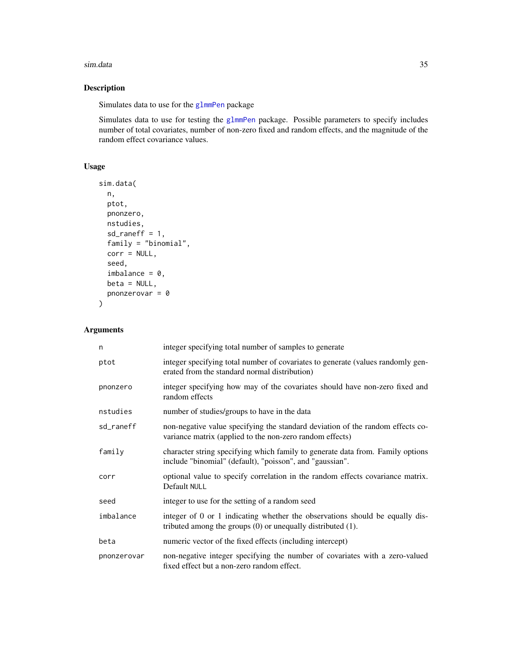#### <span id="page-34-0"></span>sim.data 35

# Description

Simulates data to use for the [glmmPen](#page-11-1) package

Simulates data to use for testing the [glmmPen](#page-11-1) package. Possible parameters to specify includes number of total covariates, number of non-zero fixed and random effects, and the magnitude of the random effect covariance values.

# Usage

```
sim.data(
  n,
  ptot,
  pnonzero,
  nstudies,
  sd\_raneff = 1,
  family = "binomial",
  corr = NULL,
  seed,
  imbalance = 0,beta = NULL,pnonzerovar = \theta\overline{\phantom{a}}
```

| n           | integer specifying total number of samples to generate                                                                                           |
|-------------|--------------------------------------------------------------------------------------------------------------------------------------------------|
| ptot        | integer specifying total number of covariates to generate (values randomly gen-<br>erated from the standard normal distribution)                 |
| pnonzero    | integer specifying how may of the covariates should have non-zero fixed and<br>random effects                                                    |
| nstudies    | number of studies/groups to have in the data                                                                                                     |
| sd_raneff   | non-negative value specifying the standard deviation of the random effects co-<br>variance matrix (applied to the non-zero random effects)       |
| family      | character string specifying which family to generate data from. Family options<br>include "binomial" (default), "poisson", and "gaussian".       |
| corr        | optional value to specify correlation in the random effects covariance matrix.<br>Default NULL                                                   |
| seed        | integer to use for the setting of a random seed                                                                                                  |
| imbalance   | integer of 0 or 1 indicating whether the observations should be equally dis-<br>tributed among the groups $(0)$ or unequally distributed $(1)$ . |
| beta        | numeric vector of the fixed effects (including intercept)                                                                                        |
| pnonzerovar | non-negative integer specifying the number of covariates with a zero-valued<br>fixed effect but a non-zero random effect.                        |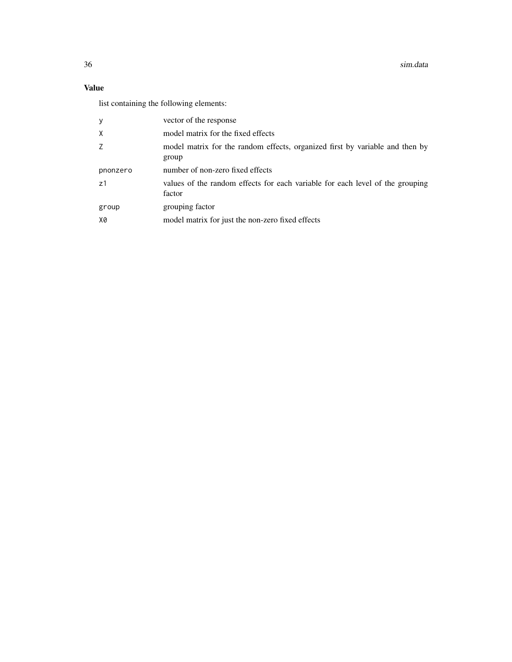36 sim.data

# Value

list containing the following elements:

| У        | vector of the response                                                                  |
|----------|-----------------------------------------------------------------------------------------|
| X        | model matrix for the fixed effects                                                      |
| Z        | model matrix for the random effects, organized first by variable and then by<br>group   |
| pnonzero | number of non-zero fixed effects                                                        |
| z1       | values of the random effects for each variable for each level of the grouping<br>factor |
| group    | grouping factor                                                                         |
| X0       | model matrix for just the non-zero fixed effects                                        |